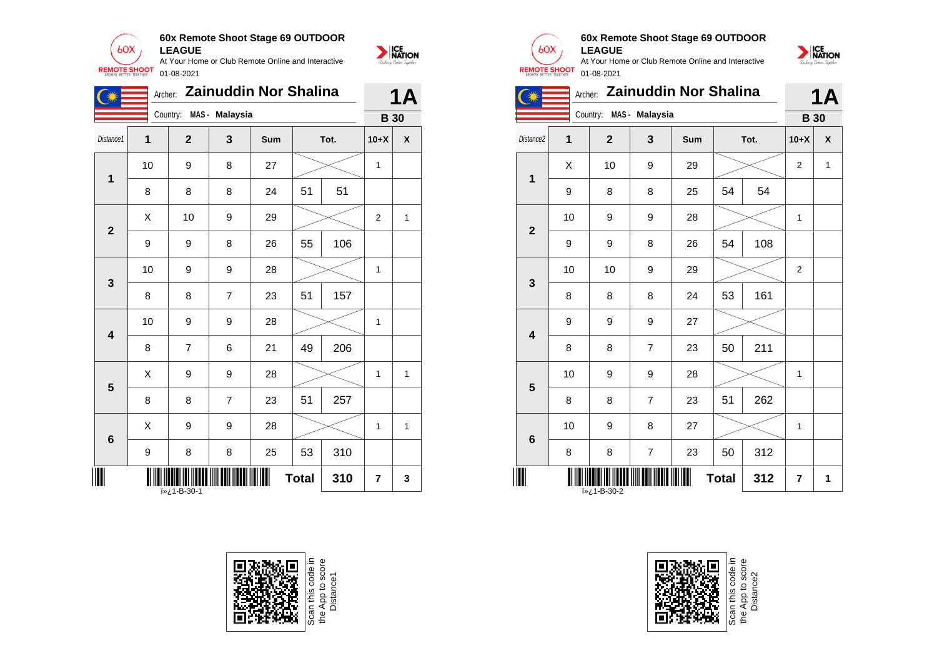

|                         | <b>Zainuddin Nor Shalina</b><br>Archer: |               |                |     |              |      |                |   |
|-------------------------|-----------------------------------------|---------------|----------------|-----|--------------|------|----------------|---|
|                         |                                         | Country:      | MAS - Malaysia |     |              |      | <b>B</b> 30    |   |
| Distance1               | 1                                       | $\mathbf{2}$  | 3              | Sum |              | Tot. | $10+X$         | X |
| $\overline{\mathbf{1}}$ | 10                                      | 9             | 8              | 27  |              |      | 1              |   |
|                         | 8                                       | 8             | 8              | 24  | 51           | 51   |                |   |
| $\overline{2}$          | X                                       | 10            | 9              | 29  |              |      | $\overline{2}$ | 1 |
|                         | 9                                       | 9             | 8              | 26  | 55           | 106  |                |   |
| $\mathbf{3}$            | 10                                      | 9             | 9              | 28  |              |      | 1              |   |
|                         | 8                                       | 8             | $\overline{7}$ | 23  | 51           | 157  |                |   |
| $\overline{\mathbf{4}}$ | 10                                      | 9             | 9              | 28  |              |      | 1              |   |
|                         | 8                                       | 7             | 6              | 21  | 49           | 206  |                |   |
| 5                       | X                                       | 9             | 9              | 28  |              |      | 1              | 1 |
|                         | 8                                       | 8             | $\overline{7}$ | 23  | 51           | 257  |                |   |
| $6\phantom{1}6$         | Χ                                       | 9             | 9              | 28  |              |      | 1              | 1 |
|                         | $\boldsymbol{9}$                        | 8             | 8              | 25  | 53           | 310  |                |   |
|                         |                                         | 1-B-30-1 ن «آ |                |     | <b>Total</b> | 310  | 7              | 3 |





#### **60x Remote Shoot Stage 69 OUTDOOR LEAGUE**

At Your Home or Club Remote Online and Interactive REMOTE SHOOT 01-08-2021



|                         | Archer: Zainuddin Nor Shalina |                |                |     |              |      |                |   |
|-------------------------|-------------------------------|----------------|----------------|-----|--------------|------|----------------|---|
|                         |                               | Country:       | MAS - Malaysia |     |              |      | <b>B</b> 30    |   |
| Distance <sub>2</sub>   | 1                             | $\overline{2}$ | 3              | Sum |              | Tot. | $10+X$         | X |
| 1                       | X                             | 10             | 9              | 29  |              |      | $\overline{2}$ | 1 |
|                         | 9                             | 8              | 8              | 25  | 54           | 54   |                |   |
| $\overline{2}$          | 10                            | 9              | 9              | 28  |              |      | 1              |   |
|                         | 9                             | 9              | 8              | 26  | 54           | 108  |                |   |
| 3                       | 10                            | 10             | 9              | 29  |              |      | $\overline{2}$ |   |
|                         | 8                             | 8              | 8              | 24  | 53           | 161  |                |   |
|                         | 9                             | 9              | 9              | 27  |              |      |                |   |
| $\overline{\mathbf{4}}$ | 8                             | 8              | $\overline{7}$ | 23  | 50           | 211  |                |   |
| 5                       | 10                            | 9              | 9              | 28  |              |      | 1              |   |
|                         | 8                             | 8              | $\overline{7}$ | 23  | 51           | 262  |                |   |
| 6                       | 10                            | 9              | 8              | 27  |              |      | 1              |   |
|                         | 8                             | 8              | $\overline{7}$ | 23  | 50           | 312  |                |   |
|                         |                               |                |                |     | <b>Total</b> | 312  | 7              | 1 |



Scan this code<br>the App to sco<br>Distance2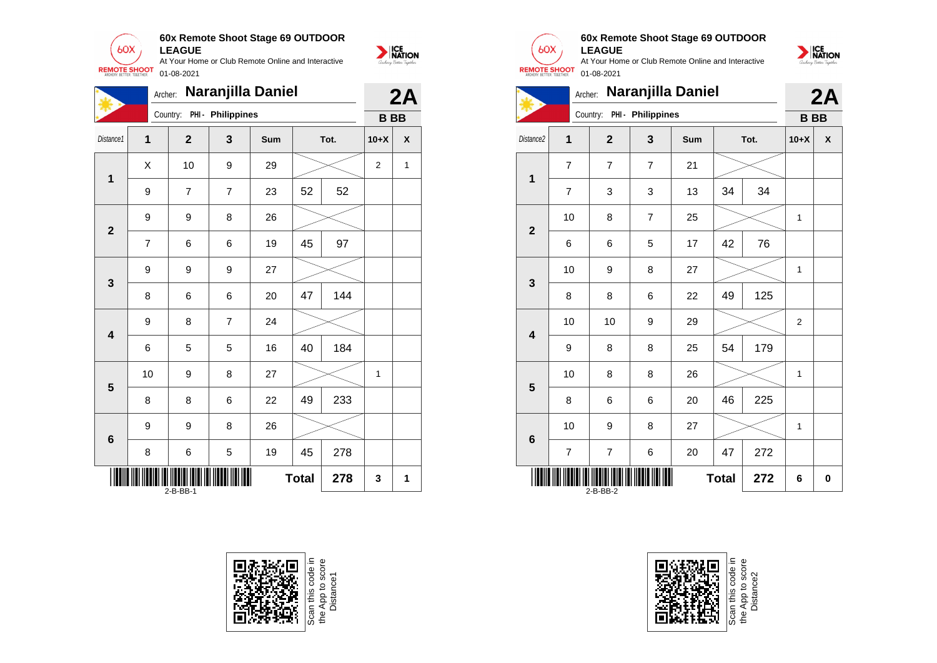

|                         | Naranjilla Daniel<br>Archer:         |                |                   |     |    |      |           |                    |
|-------------------------|--------------------------------------|----------------|-------------------|-----|----|------|-----------|--------------------|
|                         |                                      | Country:       | PHI - Philippines |     |    |      | <b>BB</b> |                    |
| Distance1               | $\overline{1}$                       | $\overline{2}$ | $\mathbf{3}$      | Sum |    | Tot. | $10+X$    | $\pmb{\mathsf{X}}$ |
| $\mathbf 1$             | X                                    | 10             | 9                 | 29  |    |      | 2         | $\mathbf{1}$       |
|                         | 9                                    | 7              | 7                 | 23  | 52 | 52   |           |                    |
| $\mathbf{2}$            | 9                                    | 9              | 8                 | 26  |    |      |           |                    |
|                         | $\overline{7}$                       | 6              | 6                 | 19  | 45 | 97   |           |                    |
| 3                       | 9                                    | 9              | 9                 | 27  |    |      |           |                    |
|                         | 8                                    | 6              | 6                 | 20  | 47 | 144  |           |                    |
| $\overline{\mathbf{4}}$ | 9                                    | 8              | $\overline{7}$    | 24  |    |      |           |                    |
|                         | 6                                    | 5              | 5                 | 16  | 40 | 184  |           |                    |
| 5                       | 10                                   | 9              | 8                 | 27  |    |      | 1         |                    |
|                         | 8                                    | 8              | 6                 | 22  | 49 | 233  |           |                    |
| $\boldsymbol{6}$        | 9                                    | 9              | 8                 | 26  |    |      |           |                    |
|                         | 8                                    | 6              | 5                 | 19  | 45 | 278  |           |                    |
|                         | <b>Total</b><br>278<br>3<br>2-B-BB-1 |                |                   |     |    |      |           | 1                  |







#### **60x Remote Shoot Stage 69 OUTDOOR LEAGUE**

NATION





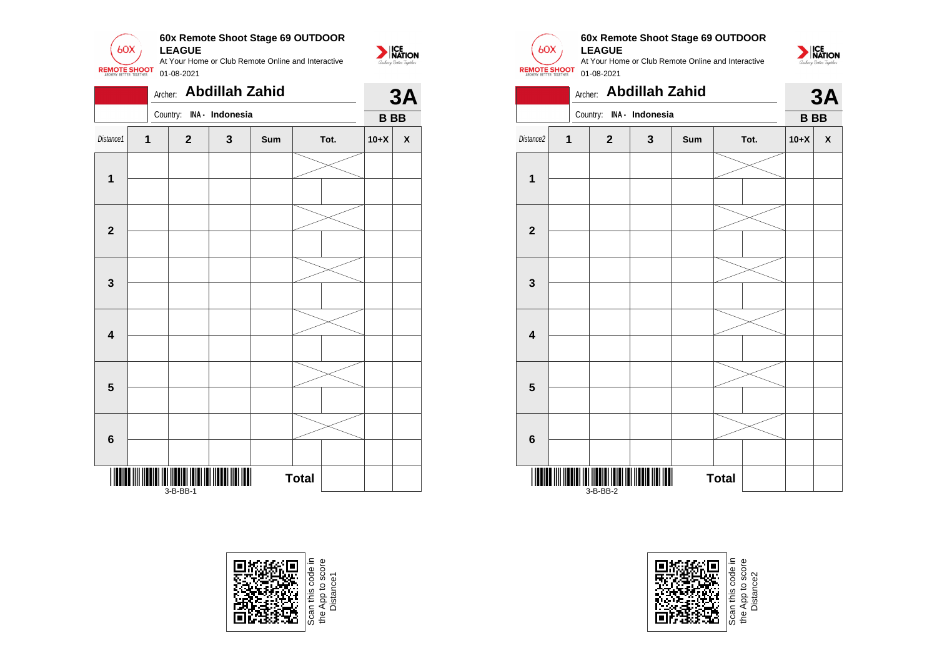

|                         |   | Archer: |                                   | <b>Abdillah Zahid</b>    |     |              |  |            | 3A                 |  |
|-------------------------|---|---------|-----------------------------------|--------------------------|-----|--------------|--|------------|--------------------|--|
|                         |   |         |                                   | Country: INA - Indonesia |     |              |  | <b>BBB</b> |                    |  |
| Distance1               | 1 |         | $\mathbf 2$                       | 3                        | Sum | Tot.         |  | $10+X$     | $\pmb{\mathsf{X}}$ |  |
| $\mathbf 1$             |   |         |                                   |                          |     |              |  |            |                    |  |
| $\boldsymbol{2}$        |   |         |                                   |                          |     |              |  |            |                    |  |
| $\mathbf 3$             |   |         |                                   |                          |     |              |  |            |                    |  |
| $\overline{\mathbf{4}}$ |   |         |                                   |                          |     |              |  |            |                    |  |
| $5\phantom{1}$          |   |         |                                   |                          |     |              |  |            |                    |  |
| $\bf 6$                 |   |         |                                   |                          |     |              |  |            |                    |  |
|                         |   |         | <b>TITI ITITI ITI</b><br>3-B-BB-1 | Ш                        |     | <b>Total</b> |  |            |                    |  |





### **60x Remote Shoot Stage 69 OUTDOOR**



|                         | Archer: Abdillah Zahid  |              |                          |     |              |        |           |  |  |
|-------------------------|-------------------------|--------------|--------------------------|-----|--------------|--------|-----------|--|--|
|                         |                         |              | Country: INA - Indonesia |     |              |        | <b>BB</b> |  |  |
| Distance2               | $\overline{\mathbf{1}}$ | $\mathbf{2}$ | $\mathbf{3}$             | Sum | Tot.         | $10+X$ | X         |  |  |
|                         |                         |              |                          |     |              |        |           |  |  |
| $\overline{\mathbf{1}}$ |                         |              |                          |     |              |        |           |  |  |
|                         |                         |              |                          |     |              |        |           |  |  |
| $\overline{\mathbf{2}}$ |                         |              |                          |     |              |        |           |  |  |
|                         |                         |              |                          |     |              |        |           |  |  |
| 3                       |                         |              |                          |     |              |        |           |  |  |
|                         |                         |              |                          |     |              |        |           |  |  |
| $\overline{\mathbf{4}}$ |                         |              |                          |     |              |        |           |  |  |
|                         |                         |              |                          |     |              |        |           |  |  |
| 5                       |                         |              |                          |     |              |        |           |  |  |
|                         |                         |              |                          |     |              |        |           |  |  |
| $6\phantom{1}$          |                         |              |                          |     |              |        |           |  |  |
|                         |                         | $3-B-BB-2$   |                          |     | <b>Total</b> |        |           |  |  |



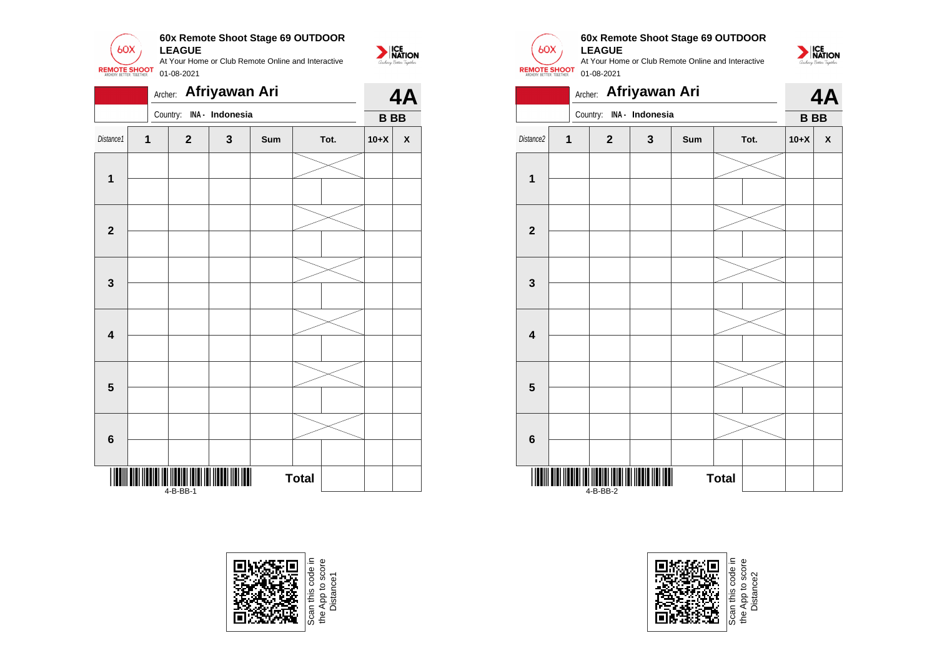

|                         |              |          |              | Archer: Afriyawan Ari |     |              |  | 4A        |                    |
|-------------------------|--------------|----------|--------------|-----------------------|-----|--------------|--|-----------|--------------------|
|                         |              | Country: |              | INA - Indonesia       |     |              |  | <b>BB</b> |                    |
| Distance1               | $\mathbf{1}$ |          | $\mathbf{2}$ | 3                     | Sum | Tot.         |  | $10+X$    | $\pmb{\mathsf{X}}$ |
| $\mathbf{1}$            |              |          |              |                       |     |              |  |           |                    |
|                         |              |          |              |                       |     |              |  |           |                    |
| $\mathbf{2}$            |              |          |              |                       |     |              |  |           |                    |
|                         |              |          |              |                       |     |              |  |           |                    |
| 3                       |              |          |              |                       |     |              |  |           |                    |
| $\overline{\mathbf{4}}$ |              |          |              |                       |     |              |  |           |                    |
| $\overline{\mathbf{5}}$ |              |          |              |                       |     |              |  |           |                    |
|                         |              |          |              |                       |     |              |  |           |                    |
| 6                       |              |          |              |                       |     |              |  |           |                    |
| III                     |              | 4-B-BB-1 |              |                       |     | <b>Total</b> |  |           |                    |





## **60x Remote Shoot Stage 69 OUTDOOR**

NATION



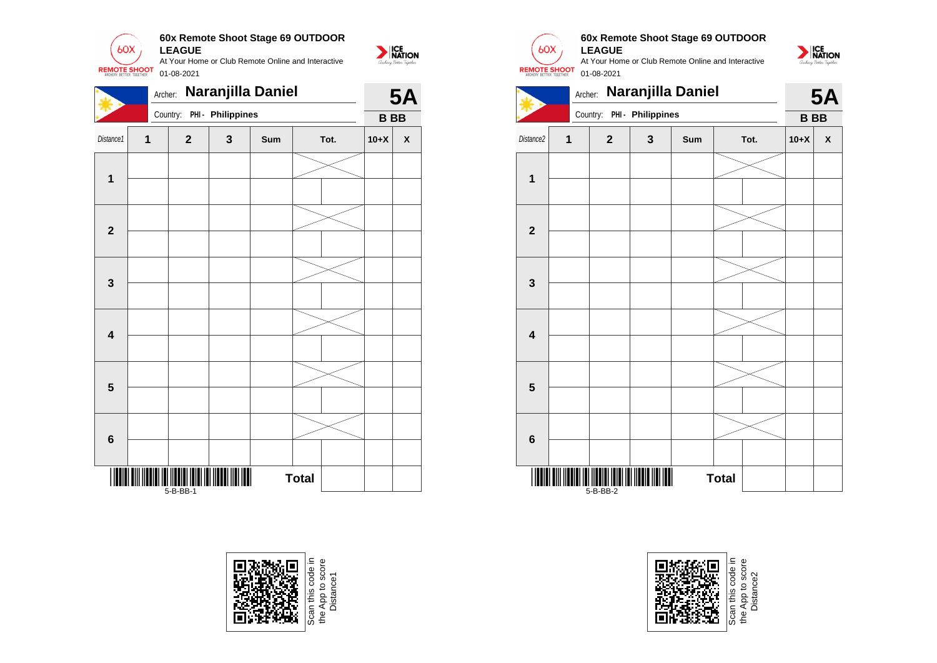

| Naranjilla Daniel<br>Archer: |   |              |                            |     |              |      |            | <b>5A</b> |  |
|------------------------------|---|--------------|----------------------------|-----|--------------|------|------------|-----------|--|
|                              |   |              | Country: PHI - Philippines |     |              |      | <b>BBB</b> |           |  |
| Distance1                    | 1 | $\mathbf{2}$ | $\mathbf 3$                | Sum |              | Tot. | $10+X$     | X         |  |
| $\mathbf{1}$                 |   |              |                            |     |              |      |            |           |  |
|                              |   |              |                            |     |              |      |            |           |  |
| $\mathbf 2$                  |   |              |                            |     |              |      |            |           |  |
|                              |   |              |                            |     |              |      |            |           |  |
| $\mathbf 3$                  |   |              |                            |     |              |      |            |           |  |
|                              |   |              |                            |     |              |      |            |           |  |
| $\overline{\mathbf{4}}$      |   |              |                            |     |              |      |            |           |  |
|                              |   |              |                            |     |              |      |            |           |  |
| $\overline{\mathbf{5}}$      |   |              |                            |     |              |      |            |           |  |
|                              |   |              |                            |     |              |      |            |           |  |
| $6\phantom{1}$               |   |              |                            |     |              |      |            |           |  |
|                              |   |              |                            |     |              |      |            |           |  |
|                              |   | 5-B-BB-1     |                            |     | <b>Total</b> |      |            |           |  |







#### **60x Remote Shoot Stage 69 OUTDOOR LEAGUE**





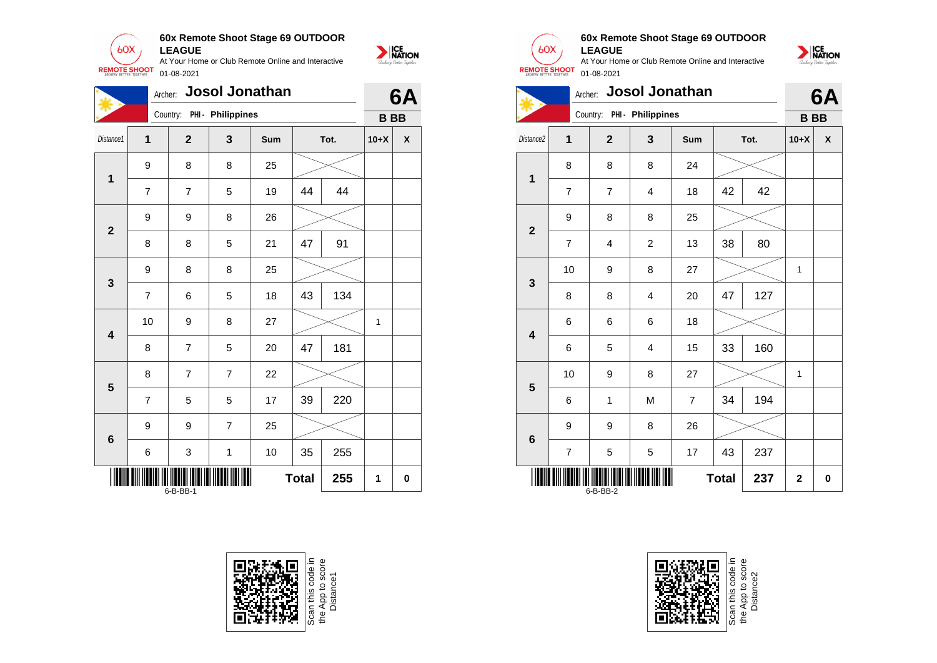

**60x Remote Shoot Stage 69 OUTDOOR LEAGUE**

At Your Home or Club Remote Online and Interactive 01-08-2021

NATION

|                                      | <b>Josol Jonathan</b><br>Archer: |                |                            |     |    |      |              |   |
|--------------------------------------|----------------------------------|----------------|----------------------------|-----|----|------|--------------|---|
|                                      |                                  |                | Country: PHI - Philippines |     |    |      | <b>BB</b>    |   |
| Distance1                            | 1                                | $\mathbf{2}$   | 3                          | Sum |    | Tot. | $10+X$       | χ |
| $\mathbf{1}$                         | 9                                | 8              | 8                          | 25  |    |      |              |   |
|                                      | $\overline{7}$                   | $\overline{7}$ | 5                          | 19  | 44 | 44   |              |   |
| $\overline{2}$                       | 9                                | 9              | 8                          | 26  |    |      |              |   |
|                                      | 8                                | 8              | 5                          | 21  | 47 | 91   |              |   |
| $\mathbf{3}$                         | 9                                | 8              | 8                          | 25  |    |      |              |   |
|                                      | $\overline{7}$                   | 6              | 5                          | 18  | 43 | 134  |              |   |
| $\overline{\mathbf{4}}$              | 10                               | 9              | 8                          | 27  |    |      | $\mathbf{1}$ |   |
|                                      | 8                                | $\overline{7}$ | 5                          | 20  | 47 | 181  |              |   |
| 5                                    | 8                                | $\overline{7}$ | $\overline{7}$             | 22  |    |      |              |   |
|                                      | $\overline{7}$                   | 5              | 5                          | 17  | 39 | 220  |              |   |
| $6\phantom{1}6$                      | 9                                | 9              | $\overline{7}$             | 25  |    |      |              |   |
|                                      | 6                                | 3              | 1                          | 10  | 35 | 255  |              |   |
| <b>Total</b><br>255<br>1<br>6-B-BB-1 |                                  |                |                            |     |    |      |              | 0 |





**1**

**2**

**3**

**4**

**5**

**6**

\*6-B-BB-2\* 6-B-BB-2

#### **60x Remote Shoot Stage 69 OUTDOOR LEAGUE**

At Your Home or Club Remote Online and Interactive 01-08-2021



Scan this code in<br>the App to score<br>Distance2

 $Total | 237 | 2 | 0$ 

NATION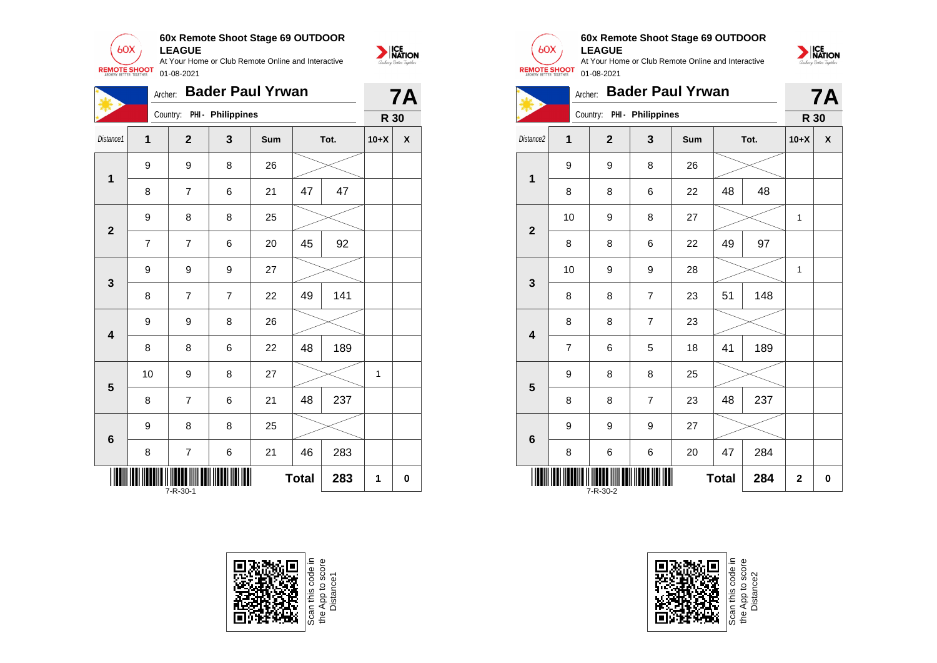

|                         | <b>Bader Paul Yrwan</b><br>Archer: |                |                   |     |              |     |        |   |
|-------------------------|------------------------------------|----------------|-------------------|-----|--------------|-----|--------|---|
|                         |                                    | Country:       | PHI - Philippines |     |              |     | R 30   |   |
| Distance1               | $\mathbf{1}$                       | $\overline{2}$ | 3                 | Sum | Tot.         |     | $10+X$ | X |
| $\mathbf 1$             | 9                                  | 9              | 8                 | 26  |              |     |        |   |
|                         | 8                                  | $\overline{7}$ | 6                 | 21  | 47           | 47  |        |   |
| $\mathbf{2}$            | 9                                  | 8              | 8                 | 25  |              |     |        |   |
|                         | 7                                  | $\overline{7}$ | 6                 | 20  | 45           | 92  |        |   |
| 3                       | 9                                  | 9              | 9                 | 27  |              |     |        |   |
|                         | 8                                  | $\overline{7}$ | $\overline{7}$    | 22  | 49           | 141 |        |   |
| $\overline{\mathbf{4}}$ | 9                                  | 9              | 8                 | 26  |              |     |        |   |
|                         | 8                                  | 8              | 6                 | 22  | 48           | 189 |        |   |
| 5                       | 10                                 | 9              | 8                 | 27  |              |     | 1      |   |
|                         | 8                                  | 7              | 6                 | 21  | 48           | 237 |        |   |
| $\boldsymbol{6}$        | 9                                  | 8              | 8                 | 25  |              |     |        |   |
|                         | 8                                  | $\overline{7}$ | 6                 | 21  | 46           | 283 |        |   |
|                         |                                    | 7-R-30-1       |                   |     | <b>Total</b> | 283 | 1      | 0 |





#### **60x Remote Shoot Stage 69 OUTDOOR LEAGUE**



| <b>Bader Paul Yrwan</b><br>Archer: |                |                |                            |     |              |      |                | <b>7A</b>    |
|------------------------------------|----------------|----------------|----------------------------|-----|--------------|------|----------------|--------------|
|                                    |                |                | Country: PHI - Philippines |     |              |      | R 30           |              |
| Distance <sub>2</sub>              | 1              | $\overline{2}$ | 3                          | Sum |              | Tot. | $10+X$         | $\mathsf{x}$ |
| 1                                  | 9              | 9              | 8                          | 26  |              |      |                |              |
|                                    | 8              | 8              | 6                          | 22  | 48           | 48   |                |              |
| $\overline{2}$                     | 10             | 9              | 8                          | 27  |              |      | 1              |              |
|                                    | 8              | 8              | 6                          | 22  | 49           | 97   |                |              |
| 3                                  | 10             | 9              | 9                          | 28  |              |      | 1              |              |
|                                    | 8              | 8              | $\overline{7}$             | 23  | 51           | 148  |                |              |
| $\overline{\mathbf{4}}$            | 8              | 8              | $\overline{7}$             | 23  |              |      |                |              |
|                                    | $\overline{7}$ | 6              | 5                          | 18  | 41           | 189  |                |              |
| 5                                  | 9              | 8              | 8                          | 25  |              |      |                |              |
|                                    | 8              | 8              | $\overline{7}$             | 23  | 48           | 237  |                |              |
| $6\phantom{1}6$                    | 9              | 9              | 9                          | 27  |              |      |                |              |
|                                    | 8              | 6              | 6                          | 20  | 47           | 284  |                |              |
|                                    |                | 7-R-30-2       |                            |     | <b>Total</b> | 284  | $\overline{2}$ | 0            |



Scan this code<br>the App to sco<br>Distance2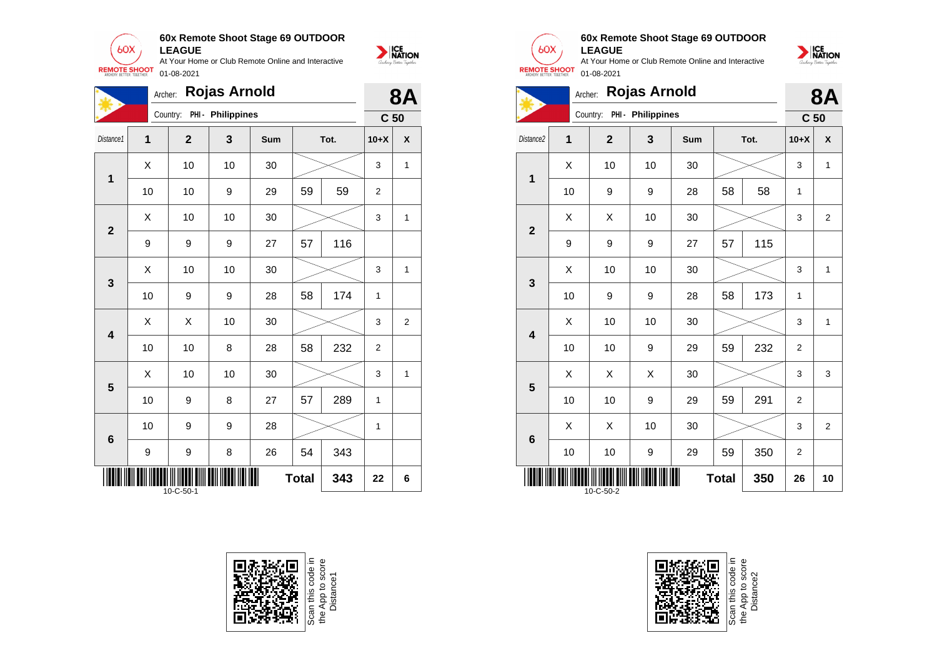

|                         | <b>Rojas Arnold</b><br>Archer: |                |                   |     |              |      |                 |                         |  |
|-------------------------|--------------------------------|----------------|-------------------|-----|--------------|------|-----------------|-------------------------|--|
|                         |                                | Country:       | PHI - Philippines |     |              |      | C <sub>50</sub> |                         |  |
| Distance1               | 1                              | $\overline{2}$ | 3                 | Sum |              | Tot. | $10+X$          | $\pmb{\mathsf{X}}$      |  |
| $\mathbf{1}$            | X                              | 10             | 10                | 30  |              |      | 3               | 1                       |  |
|                         | 10                             | 10             | 9                 | 29  | 59           | 59   | 2               |                         |  |
| $\overline{2}$          | X                              | 10             | 10                | 30  |              |      | 3               | 1                       |  |
|                         | 9                              | 9              | 9                 | 27  | 57           | 116  |                 |                         |  |
| $\mathbf{3}$            | X                              | 10             | 10                | 30  |              |      | 3               | 1                       |  |
|                         | 10                             | 9              | 9                 | 28  | 58           | 174  | 1               |                         |  |
| $\overline{\mathbf{4}}$ | Χ                              | X              | 10                | 30  |              |      | 3               | $\overline{\mathbf{c}}$ |  |
|                         | 10                             | 10             | 8                 | 28  | 58           | 232  | $\overline{2}$  |                         |  |
| $\overline{\mathbf{5}}$ | X                              | 10             | 10                | 30  |              |      | 3               | 1                       |  |
|                         | 10                             | 9              | 8                 | 27  | 57           | 289  | 1               |                         |  |
| $\bf 6$                 | 10                             | 9              | 9                 | 28  |              |      | 1               |                         |  |
|                         | 9                              | 9              | 8                 | 26  | 54           | 343  |                 |                         |  |
|                         |                                | 10-C-50-1      |                   | Ш   | <b>Total</b> | 343  | 22              | 6                       |  |





 $60X$ 

NATION

#### **60x Remote Shoot Stage 69 OUTDOOR LEAGUE**



|                                        | <b>Rojas Arnold</b><br>Archer: |                |                   |     |    |      |                 |                |  |
|----------------------------------------|--------------------------------|----------------|-------------------|-----|----|------|-----------------|----------------|--|
|                                        |                                | Country:       | PHI - Philippines |     |    |      | C <sub>50</sub> | 8Α             |  |
| Distance2                              | 1                              | $\overline{2}$ | 3                 | Sum |    | Tot. | $10+X$          | X              |  |
| 1                                      | X                              | 10             | 10                | 30  |    |      | 3               | 1              |  |
|                                        | 10                             | 9              | 9                 | 28  | 58 | 58   | 1               |                |  |
| $\overline{\mathbf{2}}$                | X                              | X              | 10                | 30  |    |      | 3               | $\overline{2}$ |  |
|                                        | 9                              | 9              | 9                 | 27  | 57 | 115  |                 |                |  |
| 3                                      | X                              | 10             | 10                | 30  |    |      | 3               | 1              |  |
|                                        | 10                             | 9              | 9                 | 28  | 58 | 173  | 1               |                |  |
| $\overline{\mathbf{4}}$                | X                              | 10             | 10                | 30  |    |      | 3               | 1              |  |
|                                        | 10                             | 10             | 9                 | 29  | 59 | 232  | $\overline{2}$  |                |  |
| 5                                      | X                              | X              | Χ                 | 30  |    |      | 3               | 3              |  |
|                                        | 10                             | 10             | 9                 | 29  | 59 | 291  | $\overline{2}$  |                |  |
| $6\phantom{1}6$                        | X                              | X              | 10                | 30  |    |      | 3               | $\overline{2}$ |  |
|                                        | 10                             | 10             | 9                 | 29  | 59 | 350  | $\overline{2}$  |                |  |
| <b>Total</b><br>350<br>26<br>10-C-50-2 |                                |                |                   |     |    |      |                 | 10             |  |

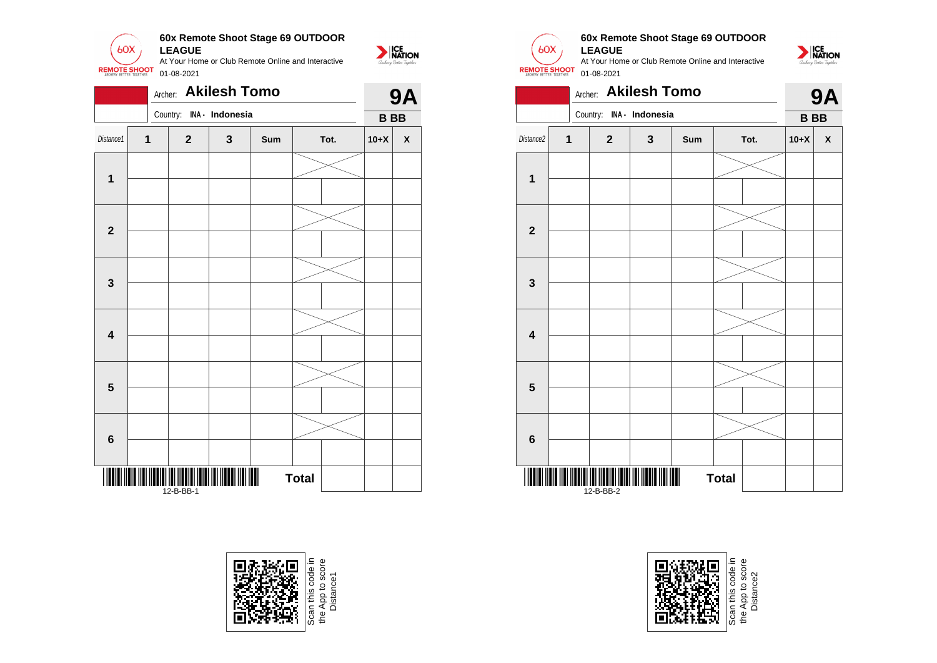

|                         |             | Archer: |                         | <b>Akilesh Tomo</b> |     |              |  |           | <b>9A</b>          |
|-------------------------|-------------|---------|-------------------------|---------------------|-----|--------------|--|-----------|--------------------|
|                         |             |         | Country:                | INA - Indonesia     |     |              |  | <b>BB</b> |                    |
| Distance1               | $\mathbf 1$ |         | $\mathbf 2$             | 3                   | Sum | Tot.         |  | $10+X$    | $\pmb{\mathsf{X}}$ |
|                         |             |         |                         |                     |     |              |  |           |                    |
| $\mathbf{1}$            |             |         |                         |                     |     |              |  |           |                    |
| $\mathbf{2}$            |             |         |                         |                     |     |              |  |           |                    |
|                         |             |         |                         |                     |     |              |  |           |                    |
| $\mathbf 3$             |             |         |                         |                     |     |              |  |           |                    |
| $\overline{\mathbf{4}}$ |             |         |                         |                     |     |              |  |           |                    |
|                         |             |         |                         |                     |     |              |  |           |                    |
| $5\phantom{1}$          |             |         |                         |                     |     |              |  |           |                    |
| $6\phantom{a}$          |             |         |                         |                     |     |              |  |           |                    |
|                         |             |         |                         |                     |     |              |  |           |                    |
| Ⅲ                       |             |         | TITI ITITI<br>12-B-BB-1 |                     | Ш   | <b>Total</b> |  |           |                    |





 $60X$ 

NATION

# **60x Remote Shoot Stage 69 OUTDOOR**





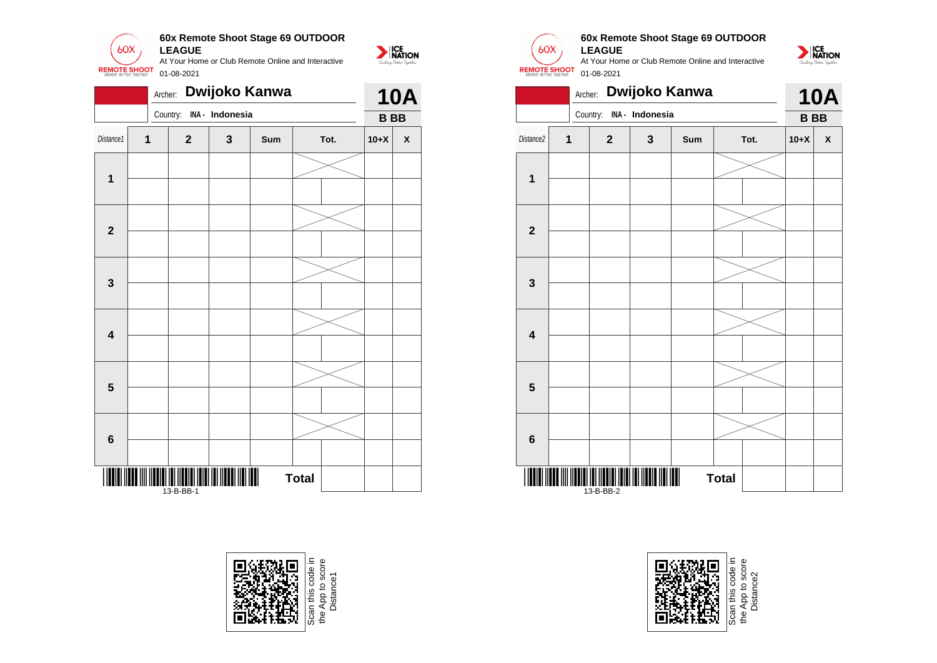

|                         | Dwijoko Kanwa<br>Archer: |                                  |   |                |              |  |           |                    |  |
|-------------------------|--------------------------|----------------------------------|---|----------------|--------------|--|-----------|--------------------|--|
|                         |                          | Country: INA - Indonesia         |   |                |              |  | <b>BB</b> |                    |  |
| Distance1               | $\mathbf{1}$             | $\mathbf{2}$                     | 3 | Sum            | Tot.         |  | $10+X$    | $\pmb{\mathsf{X}}$ |  |
|                         |                          |                                  |   |                |              |  |           |                    |  |
| 1                       |                          |                                  |   |                |              |  |           |                    |  |
| $\overline{\mathbf{2}}$ |                          |                                  |   |                |              |  |           |                    |  |
|                         |                          |                                  |   |                |              |  |           |                    |  |
| 3                       |                          |                                  |   |                |              |  |           |                    |  |
|                         |                          |                                  |   |                |              |  |           |                    |  |
| $\overline{\mathbf{4}}$ |                          |                                  |   |                |              |  |           |                    |  |
| 5                       |                          |                                  |   |                |              |  |           |                    |  |
|                         |                          |                                  |   |                |              |  |           |                    |  |
| 6                       |                          |                                  |   |                |              |  |           |                    |  |
|                         |                          |                                  |   |                |              |  |           |                    |  |
| 11                      |                          | <b>TITI ITI ITI</b><br>13-B-BB-1 |   | $\blacksquare$ | <b>Total</b> |  |           |                    |  |





#### **60x Remote Shoot Stage 69 OUTDOOR LEAGUE**

At Your Home or Club Remote Online and Interactive 01-08-2021



|                         | Dwijoko Kanwa<br>Archer: |              |                          |     |              |      |           |            |  |
|-------------------------|--------------------------|--------------|--------------------------|-----|--------------|------|-----------|------------|--|
|                         |                          |              | Country: INA - Indonesia |     |              |      | <b>BB</b> | <b>10A</b> |  |
| Distance2               | $\overline{1}$           | $\mathbf{2}$ | 3                        | Sum |              | Tot. | $10+X$    | X          |  |
|                         |                          |              |                          |     |              |      |           |            |  |
| $\mathbf 1$             |                          |              |                          |     |              |      |           |            |  |
|                         |                          |              |                          |     |              |      |           |            |  |
| $\mathbf{2}$            |                          |              |                          |     |              |      |           |            |  |
|                         |                          |              |                          |     |              |      |           |            |  |
| 3                       |                          |              |                          |     |              |      |           |            |  |
|                         |                          |              |                          |     |              |      |           |            |  |
| $\overline{\mathbf{4}}$ |                          |              |                          |     |              |      |           |            |  |
|                         |                          |              |                          |     |              |      |           |            |  |
| 5                       |                          |              |                          |     |              |      |           |            |  |
|                         |                          |              |                          |     |              |      |           |            |  |
| $\bf 6$                 |                          |              |                          |     |              |      |           |            |  |
|                         |                          |              |                          |     |              |      |           |            |  |
|                         |                          | 13-B-BB-2    |                          |     | <b>Total</b> |      |           |            |  |



the App to score e App to score<br>Distance2 Distance2the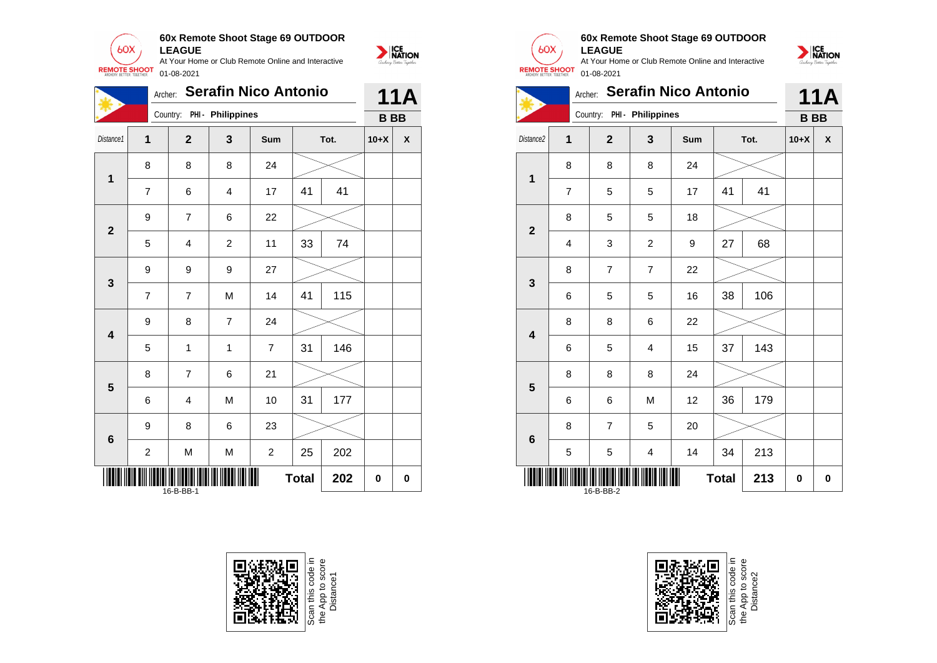

|                         | Archer:                 |                            |                  | <b>Serafin Nico Antonio</b> |              |      |           | 11A                |
|-------------------------|-------------------------|----------------------------|------------------|-----------------------------|--------------|------|-----------|--------------------|
|                         |                         | Country: PHI - Philippines |                  |                             |              |      | <b>BB</b> |                    |
| Distance1               | $\overline{1}$          | $\overline{2}$             | 3                | Sum                         |              | Tot. | $10+X$    | $\pmb{\mathsf{X}}$ |
| $\mathbf 1$             | 8                       | 8                          | 8                | 24                          |              |      |           |                    |
|                         | $\overline{7}$          | 6                          | 4                | 17                          | 41           | 41   |           |                    |
| $\mathbf{2}$            | 9                       | $\overline{7}$             | 6                | 22                          |              |      |           |                    |
|                         | 5                       | 4                          | $\boldsymbol{2}$ | 11                          | 33           | 74   |           |                    |
| $\mathbf{3}$            | 9                       | 9                          | 9                | 27                          |              |      |           |                    |
|                         | $\overline{7}$          | $\overline{7}$             | M                | 14                          | 41           | 115  |           |                    |
| $\overline{\mathbf{4}}$ | 9                       | 8                          | $\overline{7}$   | 24                          |              |      |           |                    |
|                         | 5                       | 1                          | $\mathbf{1}$     | $\overline{7}$              | 31           | 146  |           |                    |
| $\overline{\mathbf{5}}$ | 8                       | $\overline{7}$             | 6                | 21                          |              |      |           |                    |
|                         | 6                       | 4                          | M                | 10                          | 31           | 177  |           |                    |
| $6\phantom{1}6$         | 9                       | 8                          | 6                | 23                          |              |      |           |                    |
|                         | $\overline{\mathbf{c}}$ | M                          | M                | $\boldsymbol{2}$            | 25           | 202  |           |                    |
|                         |                         | 16-B-BB-1                  |                  |                             | <b>Total</b> | 202  | 0         | $\pmb{0}$          |





### **60x Remote Shoot Stage 69 OUTDOOR LEAGUE**



|                         | <b>Serafin Nico Antonio</b><br>Archer: |                |                            |     |    |      |           | <b>11A</b><br>X |  |
|-------------------------|----------------------------------------|----------------|----------------------------|-----|----|------|-----------|-----------------|--|
|                         |                                        |                | Country: PHI - Philippines |     |    |      | <b>BB</b> |                 |  |
| Distance2               | 1                                      | $\mathbf{2}$   | 3                          | Sum |    | Tot. | $10+X$    |                 |  |
| 1                       | 8                                      | 8              | 8                          | 24  |    |      |           |                 |  |
|                         | $\overline{7}$                         | 5              | 5                          | 17  | 41 | 41   |           |                 |  |
| $\mathbf{2}$            | 8                                      | 5              | 5                          | 18  |    |      |           |                 |  |
|                         | 4                                      | 3              | $\overline{2}$             | 9   | 27 | 68   |           |                 |  |
| 3                       | 8                                      | $\overline{7}$ | $\overline{7}$             | 22  |    |      |           |                 |  |
|                         | 6                                      | 5              | 5                          | 16  | 38 | 106  |           |                 |  |
| $\overline{\mathbf{4}}$ | 8                                      | 8              | 6                          | 22  |    |      |           |                 |  |
|                         | 6                                      | 5              | 4                          | 15  | 37 | 143  |           |                 |  |
| 5                       | 8                                      | 8              | 8                          | 24  |    |      |           |                 |  |
|                         | 6                                      | 6              | M                          | 12  | 36 | 179  |           |                 |  |
| $6\phantom{1}6$         | 8                                      | $\overline{7}$ | 5                          | 20  |    |      |           |                 |  |
|                         | 5                                      | 5              | $\overline{\mathbf{4}}$    | 14  | 34 | 213  |           |                 |  |
|                         | 213<br><b>Total</b><br>16-B-BB-2       |                |                            |     |    |      |           | 0               |  |



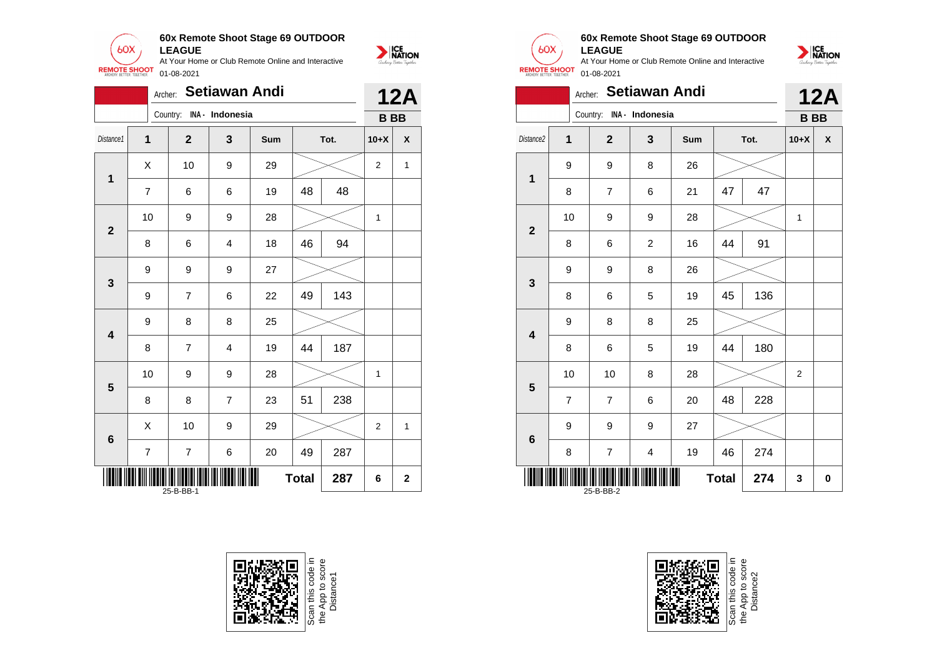

|              |                                       | Archer: |                | Setiawan Andi            |     |    |      |              | <b>12A</b>       |
|--------------|---------------------------------------|---------|----------------|--------------------------|-----|----|------|--------------|------------------|
|              |                                       |         |                | Country: INA - Indonesia |     |    |      | <b>BB</b>    |                  |
| Distance1    | $\overline{1}$                        |         | $\overline{2}$ | 3                        | Sum |    | Tot. | $10+X$       | $\boldsymbol{x}$ |
| $\mathbf 1$  | X                                     |         | 10             | 9                        | 29  |    |      | 2            | 1                |
|              | $\overline{7}$                        |         | 6              | 6                        | 19  | 48 | 48   |              |                  |
| $\mathbf{2}$ | 10                                    |         | 9              | 9                        | 28  |    |      | $\mathbf{1}$ |                  |
|              | 8                                     |         | 6              | 4                        | 18  | 46 | 94   |              |                  |
| 3            | 9                                     |         | 9              | 9                        | 27  |    |      |              |                  |
|              | 9                                     |         | $\overline{7}$ | 6                        | 22  | 49 | 143  |              |                  |
| 4            | 9                                     |         | 8              | 8                        | 25  |    |      |              |                  |
|              | 8                                     |         | $\overline{7}$ | $\overline{4}$           | 19  | 44 | 187  |              |                  |
| 5            | 10                                    |         | 9              | 9                        | 28  |    |      | 1            |                  |
|              | 8                                     |         | 8              | $\overline{7}$           | 23  | 51 | 238  |              |                  |
| 6            | X                                     |         | 10             | 9                        | 29  |    |      | 2            | 1                |
|              | $\overline{7}$                        |         | $\overline{7}$ | 6                        | 20  | 49 | 287  |              |                  |
|              | Ш<br><b>Total</b><br>287<br>25-B-BB-1 |         |                |                          |     |    |      | 6            | $\mathbf 2$      |







#### **60x Remote Shoot Stage 69 OUTDOOR LEAGUE**

At Your Home or Club Remote Online and Interactive 01-08-2021



|                                  |                | Archer: Setiawan Andi    |                         |     |    |      |                | <b>12A</b> |
|----------------------------------|----------------|--------------------------|-------------------------|-----|----|------|----------------|------------|
|                                  |                | Country: INA - Indonesia |                         |     |    |      | <b>BB</b>      |            |
| Distance2                        | 1              | $\overline{2}$           | 3                       | Sum |    | Tot. | $10+X$         | X          |
| $\mathbf{1}$                     | 9              | 9                        | 8                       | 26  |    |      |                |            |
|                                  | 8              | $\overline{7}$           | 6                       | 21  | 47 | 47   |                |            |
| $\mathbf{2}$                     | 10             | 9                        | 9                       | 28  |    |      | 1              |            |
|                                  | 8              | 6                        | $\mathbf 2$             | 16  | 44 | 91   |                |            |
| 3                                | 9              | 9                        | 8                       | 26  |    |      |                |            |
|                                  | 8              | 6                        | 5                       | 19  | 45 | 136  |                |            |
| 4                                | 9              | 8                        | 8                       | 25  |    |      |                |            |
|                                  | 8              | 6                        | 5                       | 19  | 44 | 180  |                |            |
| 5                                | 10             | 10                       | 8                       | 28  |    |      | $\overline{2}$ |            |
|                                  | $\overline{7}$ | $\overline{7}$           | 6                       | 20  | 48 | 228  |                |            |
| $6\phantom{1}$                   | 9              | 9                        | 9                       | 27  |    |      |                |            |
|                                  | 8              | $\overline{\mathbf{7}}$  | $\overline{\mathbf{4}}$ | 19  | 46 | 274  |                |            |
| 274<br><b>Total</b><br>25-B-BB-2 |                |                          |                         |     |    |      | 3              | 0          |



Scan this code in<br>the App to score<br>Distance2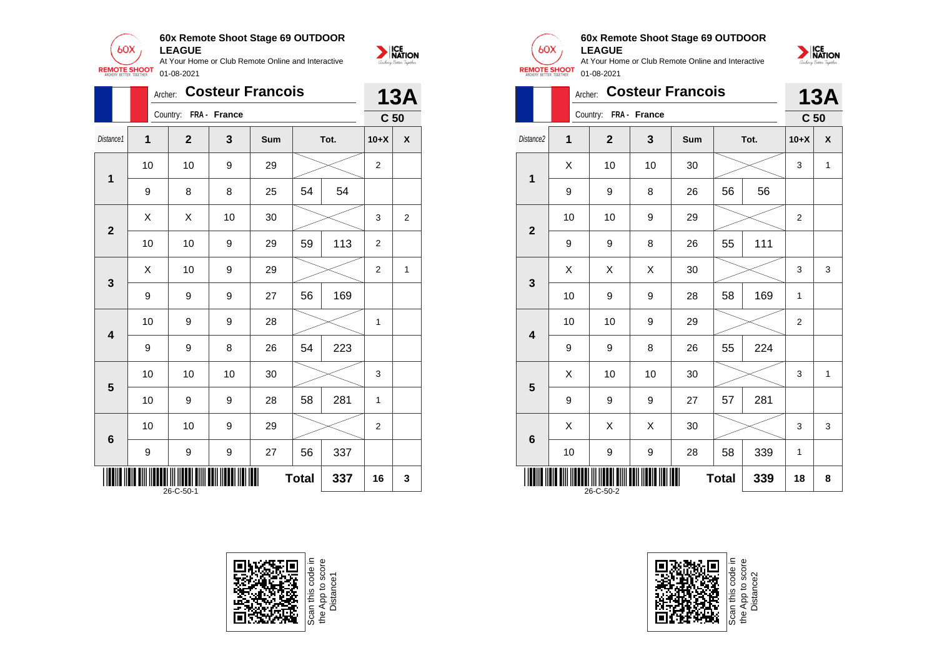

|                                             | Archer: |                       |    | <b>Costeur Francois</b> |    |      |                 | <b>13A</b> |
|---------------------------------------------|---------|-----------------------|----|-------------------------|----|------|-----------------|------------|
|                                             |         | Country: FRA - France |    |                         |    |      | C <sub>50</sub> |            |
| Distance1                                   | 1       | $\mathbf{2}$          | 3  | Sum                     |    | Tot. | $10+X$          | X          |
| $\mathbf 1$                                 | 10      | 10                    | 9  | 29                      |    |      | 2               |            |
|                                             | 9       | 8                     | 8  | 25                      | 54 | 54   |                 |            |
| $\overline{2}$                              | Χ       | X                     | 10 | 30                      |    |      | 3               | 2          |
|                                             | 10      | 10                    | 9  | 29                      | 59 | 113  | $\overline{2}$  |            |
| 3                                           | X       | 10                    | 9  | 29                      |    |      | 2               | 1          |
|                                             | 9       | 9                     | 9  | 27                      | 56 | 169  |                 |            |
| 4                                           | 10      | 9                     | 9  | 28                      |    |      | 1               |            |
|                                             | 9       | 9                     | 8  | 26                      | 54 | 223  |                 |            |
| 5                                           | 10      | 10                    | 10 | 30                      |    |      | 3               |            |
|                                             | 10      | 9                     | 9  | 28                      | 58 | 281  | 1               |            |
| 6                                           | 10      | 10                    | 9  | 29                      |    |      | $\overline{2}$  |            |
|                                             | 9       | 9                     | 9  | 27                      | 56 | 337  |                 |            |
| Ш<br><b>Total</b><br>337<br>16<br>26-C-50-1 |         |                       |    |                         |    |      |                 | 3          |





#### **60x Remote Shoot Stage 69 OUTDOOR LEAGUE**

![](_page_12_Picture_6.jpeg)

|                                        | <b>Costeur Francois</b><br>Archer: |                       |    |     |    |      |                 |            |  |
|----------------------------------------|------------------------------------|-----------------------|----|-----|----|------|-----------------|------------|--|
|                                        |                                    | Country: FRA - France |    |     |    |      | C <sub>50</sub> | <b>13A</b> |  |
| Distance2                              | 1                                  | $\overline{2}$        | 3  | Sum |    | Tot. | $10+X$          | X          |  |
| $\overline{\mathbf{1}}$                | Χ                                  | 10                    | 10 | 30  |    |      | 3               | 1          |  |
|                                        | 9                                  | 9                     | 8  | 26  | 56 | 56   |                 |            |  |
| $\overline{2}$                         | 10                                 | 10                    | 9  | 29  |    |      | $\overline{2}$  |            |  |
|                                        | 9                                  | 9                     | 8  | 26  | 55 | 111  |                 |            |  |
| 3                                      | X                                  | Χ                     | X  | 30  |    |      | 3               | 3          |  |
|                                        | 10                                 | 9                     | 9  | 28  | 58 | 169  | 1               |            |  |
| $\overline{\mathbf{4}}$                | 10                                 | 10                    | 9  | 29  |    |      | 2               |            |  |
|                                        | 9                                  | 9                     | 8  | 26  | 55 | 224  |                 |            |  |
| 5                                      | X                                  | 10                    | 10 | 30  |    |      | 3               | 1          |  |
|                                        | 9                                  | 9                     | 9  | 27  | 57 | 281  |                 |            |  |
| $\bf 6$                                | X                                  | X                     | X  | 30  |    |      | 3               | 3          |  |
|                                        | 10                                 | 9                     | 9  | 28  | 58 | 339  | 1               |            |  |
| 339<br><b>Total</b><br>18<br>26-C-50-2 |                                    |                       |    |     |    |      |                 |            |  |

![](_page_12_Picture_8.jpeg)

![](_page_12_Picture_9.jpeg)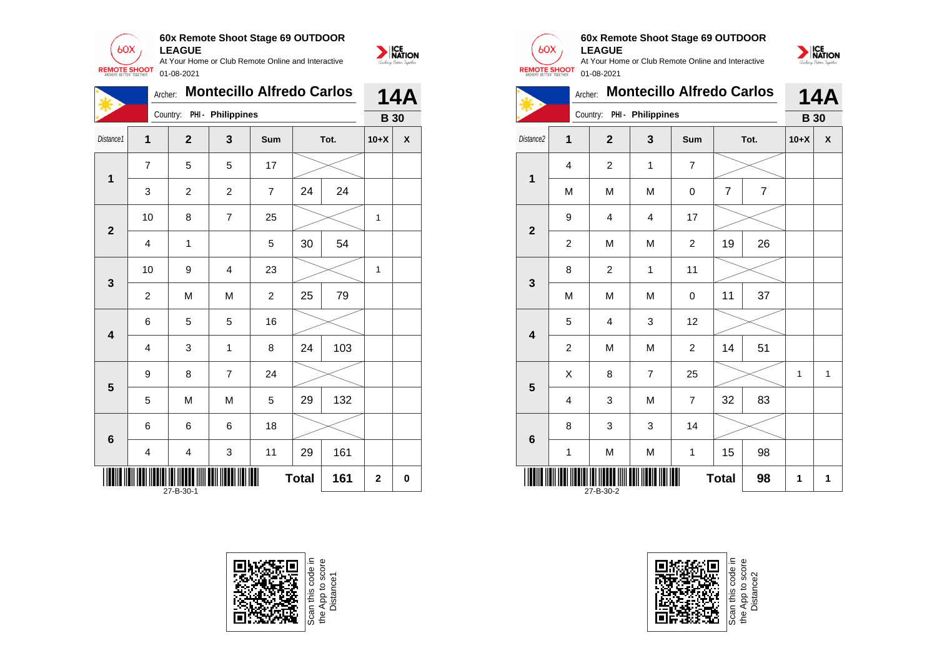![](_page_13_Picture_0.jpeg)

|                         | Archer:                 |                            | <b>Montecillo Alfredo Carlos</b> |                | <b>14A</b>   |      |             |                    |
|-------------------------|-------------------------|----------------------------|----------------------------------|----------------|--------------|------|-------------|--------------------|
|                         |                         | Country: PHI - Philippines |                                  |                |              |      | <b>B</b> 30 |                    |
| Distance1               | $\mathbf 1$             | $\overline{2}$             | 3                                | Sum            |              | Tot. | $10+X$      | $\pmb{\mathsf{X}}$ |
| $\mathbf{1}$            | $\overline{7}$          | 5                          | 5                                | 17             |              |      |             |                    |
|                         | 3                       | $\overline{c}$             | $\overline{c}$                   | $\overline{7}$ | 24           | 24   |             |                    |
|                         | 10                      | 8                          | $\overline{7}$                   | 25             |              |      | 1           |                    |
| $\mathbf{2}$            | $\overline{\mathbf{4}}$ | 1                          |                                  | 5              | 30           | 54   |             |                    |
| $\mathbf{3}$            | 10                      | 9                          | $\overline{\mathbf{4}}$          | 23             |              |      | 1           |                    |
|                         | $\overline{c}$          | M                          | M                                | $\overline{c}$ | 25           | 79   |             |                    |
| $\overline{\mathbf{4}}$ | 6                       | 5                          | 5                                | 16             |              |      |             |                    |
|                         | 4                       | 3                          | 1                                | 8              | 24           | 103  |             |                    |
| 5                       | 9                       | 8                          | $\overline{7}$                   | 24             |              |      |             |                    |
|                         | 5                       | M                          | M                                | 5              | 29           | 132  |             |                    |
| 6                       | 6                       | 6                          | 6                                | 18             |              |      |             |                    |
|                         | 4                       | 4                          | 3                                | 11             | 29           | 161  |             |                    |
|                         |                         | 27-B-30-1                  |                                  |                | <b>Total</b> | 161  | $\mathbf 2$ | 0                  |

![](_page_13_Picture_2.jpeg)

Scan this code i<br>the App to score<br>Distance1

![](_page_13_Picture_4.jpeg)

NATION

### **60x Remote Shoot Stage 69 OUTDOOR LEAGUE**

![](_page_13_Picture_7.jpeg)

|                                      | <b>Montecillo Alfredo Carlos</b><br>Archer: |                |                            |                |                |                |             |   |
|--------------------------------------|---------------------------------------------|----------------|----------------------------|----------------|----------------|----------------|-------------|---|
|                                      |                                             |                | Country: PHI - Philippines |                |                |                | <b>B</b> 30 |   |
| Distance2                            | 1                                           | $\overline{2}$ | 3                          | Sum            |                | Tot.           | $10+X$      | X |
| 1                                    | 4                                           | $\overline{2}$ | $\mathbf{1}$               | $\overline{7}$ |                |                |             |   |
|                                      | M                                           | M              | M                          | $\mathbf 0$    | $\overline{7}$ | $\overline{7}$ |             |   |
| $\overline{2}$                       | 9                                           | 4              | $\overline{4}$             | 17             |                |                |             |   |
|                                      | $\overline{2}$                              | M              | M                          | $\overline{2}$ | 19             | 26             |             |   |
| 3                                    | 8                                           | $\overline{c}$ | 1                          | 11             |                |                |             |   |
|                                      | M                                           | M              | M                          | $\mathbf 0$    | 11             | 37             |             |   |
| $\overline{\mathbf{4}}$              | 5                                           | $\overline{4}$ | 3                          | 12             |                |                |             |   |
|                                      | $\boldsymbol{2}$                            | M              | M                          | $\overline{c}$ | 14             | 51             |             |   |
| 5                                    | Χ                                           | 8              | $\overline{7}$             | 25             |                |                | 1           | 1 |
|                                      | $\overline{4}$                              | 3              | M                          | $\overline{7}$ | 32             | 83             |             |   |
| 6                                    | 8                                           | 3              | 3                          | 14             |                |                |             |   |
|                                      | $\mathbf{1}$                                | M              | M                          | $\mathbf 1$    | 15             | 98             |             |   |
| 98<br><b>Total</b><br>1<br>27-B-30-2 |                                             |                |                            |                |                |                |             | 1 |

![](_page_13_Picture_9.jpeg)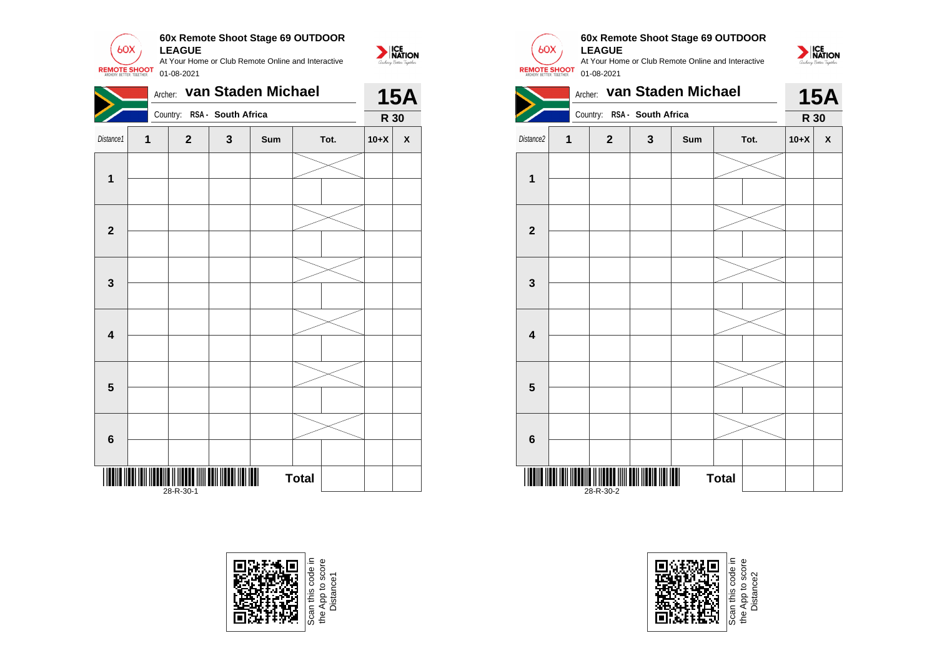![](_page_14_Picture_0.jpeg)

|                         | Archer: |                                                    |   | van Staden Michael |              |        | <b>15A</b> |
|-------------------------|---------|----------------------------------------------------|---|--------------------|--------------|--------|------------|
|                         |         | Country: RSA - South Africa                        |   |                    |              | R 30   |            |
| Distance1               | 1       | $\mathbf{2}$                                       | 3 | Sum                | Tot.         | $10+X$ | X          |
| $\mathbf{1}$            |         |                                                    |   |                    |              |        |            |
|                         |         |                                                    |   |                    |              |        |            |
| $\mathbf{2}$            |         |                                                    |   |                    |              |        |            |
|                         |         |                                                    |   |                    |              |        |            |
| $\mathbf 3$             |         |                                                    |   |                    |              |        |            |
|                         |         |                                                    |   |                    |              |        |            |
| $\overline{\mathbf{4}}$ |         |                                                    |   |                    |              |        |            |
|                         |         |                                                    |   |                    |              |        |            |
| $\overline{\mathbf{5}}$ |         |                                                    |   |                    |              |        |            |
|                         |         |                                                    |   |                    |              |        |            |
| $\bf 6$                 |         |                                                    |   |                    |              |        |            |
|                         |         |                                                    |   |                    |              |        |            |
|                         |         | III <b>I</b> II IIIIII IIIII IIII III<br>28-R-30-1 |   | $\blacksquare$     | <b>Total</b> |        |            |

![](_page_14_Picture_2.jpeg)

![](_page_14_Picture_3.jpeg)

![](_page_14_Picture_4.jpeg)

 $60X$ 

### **60x Remote Shoot Stage 69 OUTDOOR LEAGUE**

NATION

At Your Home or Club Remote Online and Interactive 01-08-2021

![](_page_14_Picture_7.jpeg)

![](_page_14_Picture_8.jpeg)

App to score<br>Distance2 the App to score Distance2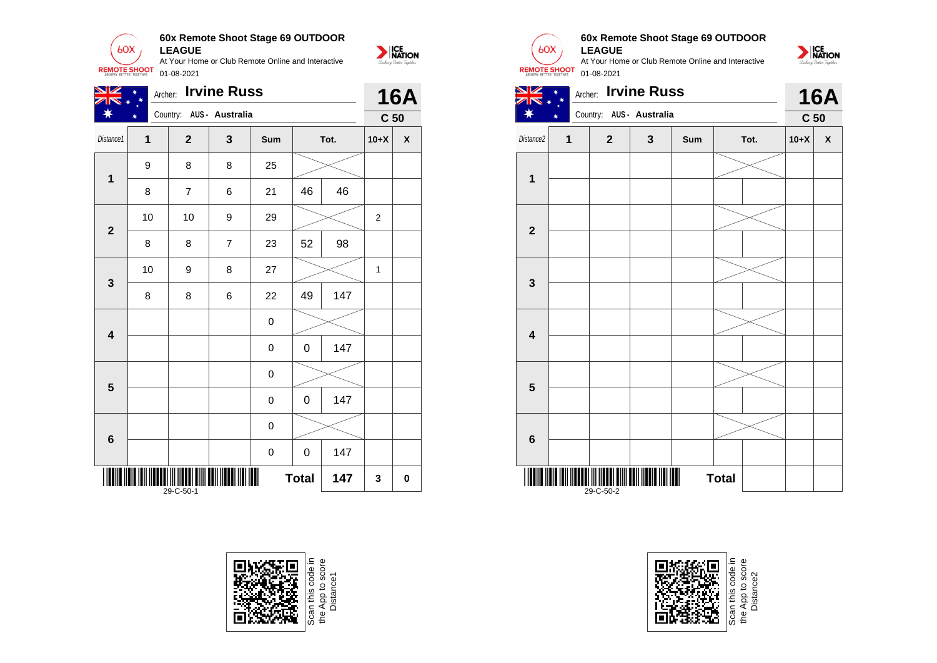![](_page_15_Picture_0.jpeg)

| <b>Irvine Russ</b><br>NZ<br>Archer:   |              |                          |                |             |    |      |                 | <b>16A</b>         |  |
|---------------------------------------|--------------|--------------------------|----------------|-------------|----|------|-----------------|--------------------|--|
|                                       |              | Country: AUS - Australia |                |             |    |      | C <sub>50</sub> |                    |  |
| Distance1                             | $\mathbf{1}$ | $\overline{\mathbf{2}}$  | $\mathbf{3}$   | Sum         |    | Tot. | $10+X$          | $\pmb{\mathsf{X}}$ |  |
| $\mathbf 1$                           | 9            | 8                        | 8              | 25          |    |      |                 |                    |  |
|                                       | 8            | $\overline{7}$           | 6              | 21          | 46 | 46   |                 |                    |  |
| $\mathbf{2}$                          | 10           | 10                       | 9              | 29          |    |      | 2               |                    |  |
|                                       | 8            | 8                        | $\overline{7}$ | 23          | 52 | 98   |                 |                    |  |
| 3                                     | 10           | 9                        | 8              | 27          |    |      | 1               |                    |  |
|                                       | 8            | 8                        | 6              | 22          | 49 | 147  |                 |                    |  |
| $\overline{\mathbf{4}}$               |              |                          |                | 0           |    |      |                 |                    |  |
|                                       |              |                          |                | 0           | 0  | 147  |                 |                    |  |
| 5                                     |              |                          |                | 0           |    |      |                 |                    |  |
|                                       |              |                          |                | $\mathbf 0$ | 0  | 147  |                 |                    |  |
| 6                                     |              |                          |                | 0           |    |      |                 |                    |  |
|                                       |              |                          |                | 0           | 0  | 147  |                 |                    |  |
| Ш<br><b>Total</b><br>147<br>29-C-50-1 |              |                          |                |             |    |      | 3               | 0                  |  |

![](_page_15_Picture_2.jpeg)

![](_page_15_Picture_3.jpeg)

#### **60x Remote Shoot Stage 69 OUTDOOR LEAGUE**

At Your Home or Club Remote Online and Interactive 01-08-2021

![](_page_15_Picture_6.jpeg)

![](_page_15_Figure_7.jpeg)

![](_page_15_Picture_8.jpeg)

Scan this code in<br>the App to score<br>Distance2 the App to score Distance2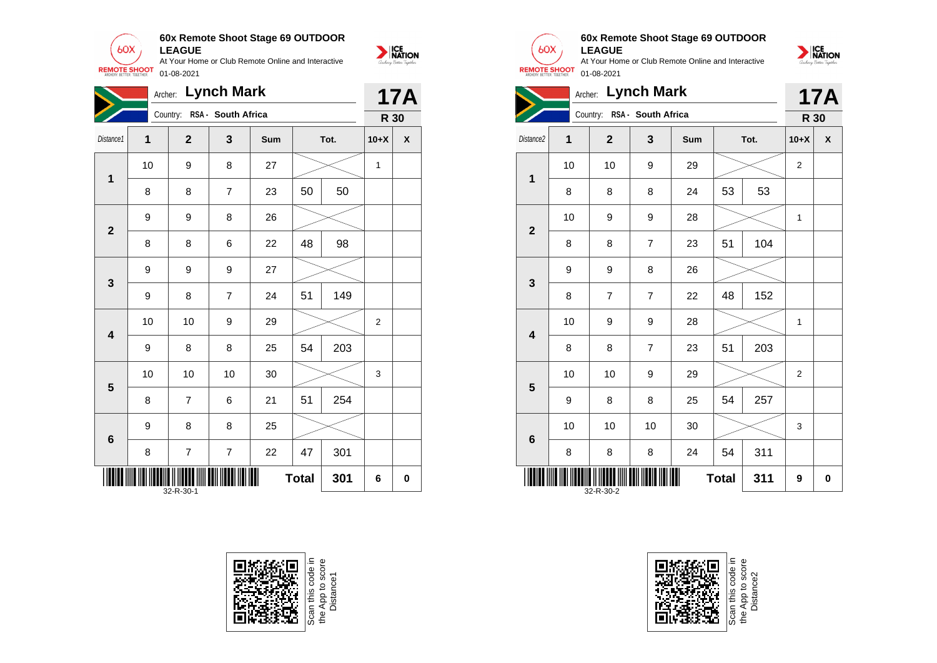**60x Remote Shoot Stage 69 OUTDOOR**  $60X$ **LEAGUE** At Your Home or Club Remote Online and Interactive

01-08-2021

**REMOTE SHOOT** 

![](_page_16_Picture_1.jpeg)

|                         | <b>Lynch Mark</b><br>Archer:          |                |                         |     |          |      |                  |   |
|-------------------------|---------------------------------------|----------------|-------------------------|-----|----------|------|------------------|---|
|                         |                                       | Country:       | RSA - South Africa      |     |          |      | R 30             |   |
| Distance1               | 1                                     | $\mathbf 2$    | 3                       | Sum |          | Tot. | $10+X$           | X |
| 1                       | 10                                    | 9              | 8                       | 27  |          |      | 1                |   |
|                         | 8                                     | 8              | $\overline{7}$          | 23  | 50<br>50 |      |                  |   |
| $\overline{\mathbf{2}}$ | 9                                     | 9              | 8                       | 26  |          |      |                  |   |
|                         | 8                                     | 8              | 6                       | 22  | 48       | 98   |                  |   |
| 3                       | 9                                     | 9              | 9                       | 27  |          |      |                  |   |
|                         | 9                                     | 8              | $\overline{7}$          | 24  | 51       | 149  |                  |   |
| $\overline{\mathbf{4}}$ | 10                                    | 10             | 9                       | 29  |          |      | $\boldsymbol{2}$ |   |
|                         | 9                                     | 8              | 8                       | 25  | 54       | 203  |                  |   |
| $\overline{\mathbf{5}}$ | 10                                    | 10             | 10                      | 30  |          |      | 3                |   |
|                         | 8                                     | $\overline{7}$ | 6                       | 21  | 51       | 254  |                  |   |
| 6                       | 9                                     | 8              | 8                       | 25  |          |      |                  |   |
|                         | 8                                     | 7              | $\overline{\mathbf{7}}$ | 22  | 47       | 301  |                  |   |
|                         | Ш<br><b>Total</b><br>301<br>32-R-30-1 |                |                         |     |          |      |                  | 0 |

![](_page_16_Picture_3.jpeg)

![](_page_16_Picture_4.jpeg)

#### **60x Remote Shoot Stage 69 OUTDOOR LEAGUE**

| <b>Lynch Mark</b><br>Archer:     |    |                |                    |     |    |      |                | <b>17A</b>         |  |
|----------------------------------|----|----------------|--------------------|-----|----|------|----------------|--------------------|--|
|                                  |    | Country:       | RSA - South Africa |     |    |      | R 30           |                    |  |
| Distance2                        | 1  | $\mathbf{2}$   | 3                  | Sum |    | Tot. | $10+X$         | $\pmb{\mathsf{X}}$ |  |
| 1                                | 10 | 10             | 9                  | 29  |    |      | $\overline{2}$ |                    |  |
|                                  | 8  | 8              | 8                  | 24  | 53 | 53   |                |                    |  |
| $\overline{\mathbf{2}}$          | 10 | 9              | 9                  | 28  |    |      | 1              |                    |  |
|                                  | 8  | 8              | $\overline{7}$     | 23  | 51 | 104  |                |                    |  |
| 3                                | 9  | 9              | 8                  | 26  |    |      |                |                    |  |
|                                  | 8  | $\overline{7}$ | $\overline{7}$     | 22  | 48 | 152  |                |                    |  |
| $\overline{\mathbf{4}}$          | 10 | 9              | 9                  | 28  |    |      | 1              |                    |  |
|                                  | 8  | 8              | $\overline{7}$     | 23  | 51 | 203  |                |                    |  |
| $5\phantom{1}$                   | 10 | 10             | 9                  | 29  |    |      | $\overline{2}$ |                    |  |
|                                  | 9  | 8              | 8                  | 25  | 54 | 257  |                |                    |  |
| $\bf 6$                          | 10 | 10             | 10                 | 30  |    |      | 3              |                    |  |
|                                  | 8  | 8              | 8                  | 24  | 54 | 311  |                |                    |  |
| 311<br><b>Total</b><br>32-R-30-2 |    |                |                    |     |    | 9    | 0              |                    |  |

![](_page_16_Picture_8.jpeg)

![](_page_16_Picture_9.jpeg)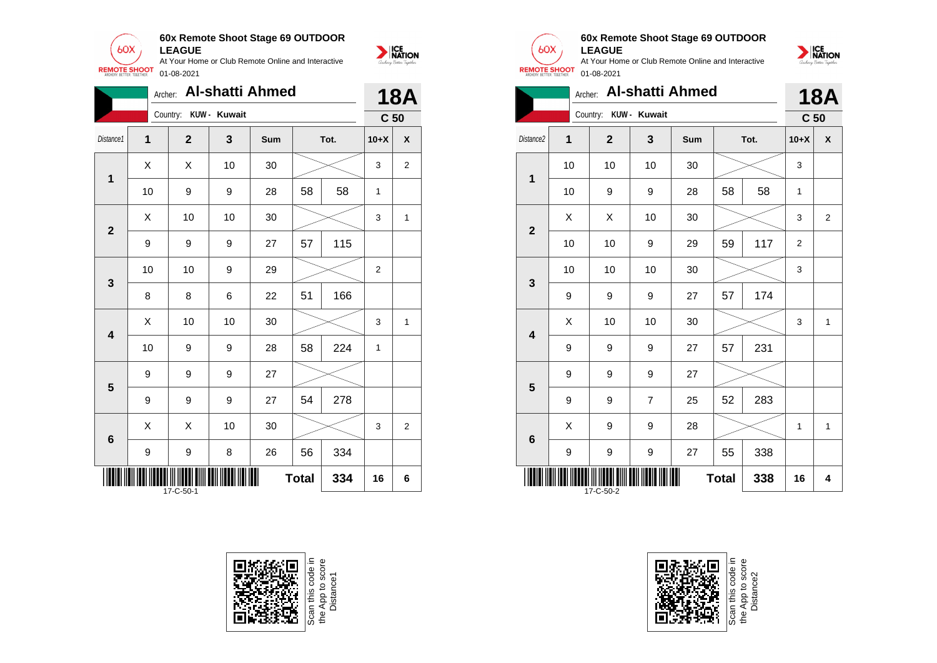![](_page_17_Picture_0.jpeg)

|                         | <b>Al-shatti Ahmed</b><br>Archer: |                |              |     |              |      |                 |                         |
|-------------------------|-----------------------------------|----------------|--------------|-----|--------------|------|-----------------|-------------------------|
|                         |                                   | Country:       | KUW - Kuwait |     |              |      | C <sub>50</sub> |                         |
| Distance1               | $\mathbf 1$                       | $\overline{2}$ | 3            | Sum |              | Tot. | $10+X$          | $\pmb{\mathsf{X}}$      |
| 1                       | X                                 | Χ              | 10           | 30  |              |      | 3               | $\overline{\mathbf{c}}$ |
|                         | 10                                | 9              | 9            | 28  | 58           | 58   | 1               |                         |
| $\mathbf{2}$            | X                                 | 10             | 10           | 30  |              |      | 3               | $\mathbf{1}$            |
|                         | 9                                 | 9              | 9            | 27  | 57           | 115  |                 |                         |
| $\mathbf{3}$            | 10                                | 10             | 9            | 29  |              |      | $\overline{2}$  |                         |
|                         | 8                                 | 8              | 6            | 22  | 51           | 166  |                 |                         |
| $\overline{\mathbf{4}}$ | X                                 | 10             | 10           | 30  |              |      | 3               | 1                       |
|                         | 10                                | 9              | 9            | 28  | 58           | 224  | 1               |                         |
| 5                       | 9                                 | 9              | 9            | 27  |              |      |                 |                         |
|                         | 9                                 | 9              | 9            | 27  | 54           | 278  |                 |                         |
| $\bf 6$                 | X                                 | X              | 10           | 30  |              |      | 3               | $\overline{2}$          |
|                         | 9                                 | 9              | 8            | 26  | 56           | 334  |                 |                         |
|                         |                                   | 17-C-50-1      |              |     | <b>Total</b> | 334  | 16              | 6                       |

![](_page_17_Picture_2.jpeg)

![](_page_17_Picture_3.jpeg)

 $60X$ 

NATION

![](_page_17_Picture_4.jpeg)

![](_page_17_Picture_5.jpeg)

**LEAGUE** At Your Home or Club Remote Online and Interactive **REMOTE SHOOT** 01-08-2021

**60x Remote Shoot Stage 69 OUTDOOR**

|                                  | <b>Al-shatti Ahmed</b><br>Archer: |                |                |     |    |      |                 |                    |
|----------------------------------|-----------------------------------|----------------|----------------|-----|----|------|-----------------|--------------------|
|                                  |                                   | Country:       | KUW - Kuwait   |     |    |      | C <sub>50</sub> |                    |
| Distance2                        | 1                                 | $\overline{2}$ | 3              | Sum |    | Tot. | $10+X$          | $\pmb{\mathsf{X}}$ |
| $\overline{1}$                   | 10                                | 10             | 10             | 30  |    |      |                 |                    |
|                                  | 10                                | 9              | 9              | 28  | 58 | 58   | 1               |                    |
| $\mathbf{2}$                     | X                                 | Χ              | 10             | 30  |    |      | 3               | $\overline{2}$     |
|                                  | 10                                | 10             | 9              | 29  | 59 | 117  | 2               |                    |
|                                  | 10                                | 10             | 10             | 30  |    |      | 3               |                    |
| 3                                | 9                                 | 9              | 9              | 27  | 57 | 174  |                 |                    |
| $\overline{\mathbf{4}}$          | Χ                                 | 10             | 10             | 30  |    |      | 3               | $\mathbf{1}$       |
|                                  | 9                                 | 9              | 9              | 27  | 57 | 231  |                 |                    |
| 5                                | 9                                 | 9              | 9              | 27  |    |      |                 |                    |
|                                  | 9                                 | 9              | $\overline{7}$ | 25  | 52 | 283  |                 |                    |
| $\bf 6$                          | X                                 | 9              | 9              | 28  |    |      | $\mathbf{1}$    | 1                  |
|                                  | 9                                 | 9              | 9              | 27  | 55 | 338  |                 |                    |
| 338<br><b>Total</b><br>17-C-50-2 |                                   |                |                |     |    |      | 16              | 4                  |

Scan this code in<br>the App to score<br>Distance2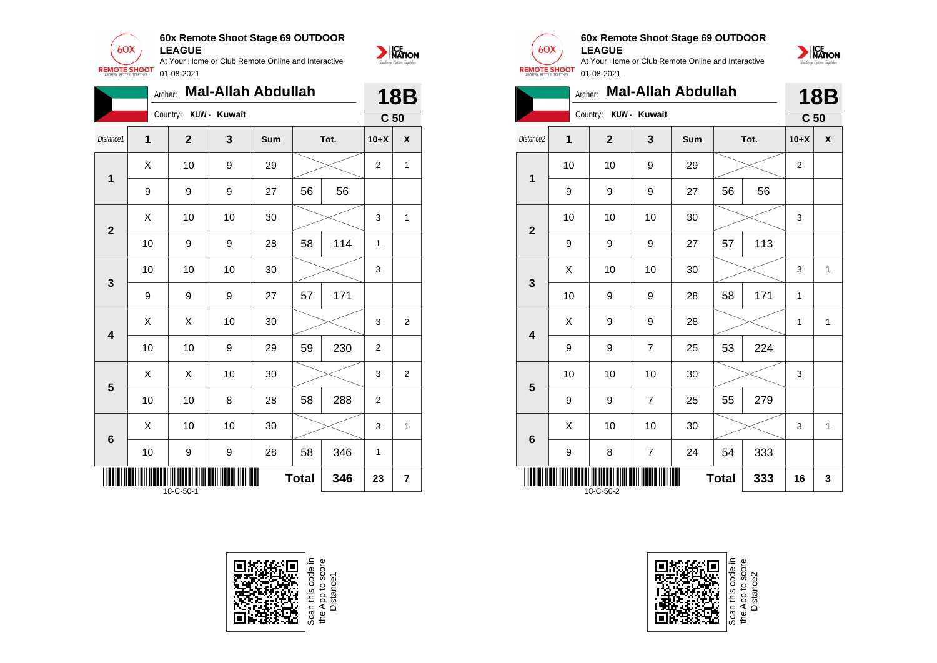![](_page_18_Picture_0.jpeg)

|                                  | <b>Mal-Allah Abdullah</b><br>Archer: |  |                                  |              |    |    |        |                 | <b>18B</b>              |
|----------------------------------|--------------------------------------|--|----------------------------------|--------------|----|----|--------|-----------------|-------------------------|
|                                  |                                      |  | Country:                         | KUW - Kuwait |    |    |        | C <sub>50</sub> |                         |
| Distance1                        | 1                                    |  | 3<br>Tot.<br>$\mathbf{2}$<br>Sum |              |    |    | $10+X$ | X               |                         |
| 1                                | X                                    |  | 10                               | 9            | 29 |    |        | $\overline{2}$  | $\mathbf{1}$            |
|                                  | 9                                    |  | 9                                | 9            | 27 | 56 | 56     |                 |                         |
| $\overline{2}$                   | Χ                                    |  | 10                               | 10           | 30 |    |        | 3               | 1                       |
|                                  | 10                                   |  | 9                                | 9            | 28 | 58 | 114    | $\mathbf{1}$    |                         |
| $\mathbf{3}$                     | 10                                   |  | 10                               | 10           | 30 |    |        | 3               |                         |
|                                  | 9                                    |  | 9                                | 9            | 27 | 57 | 171    |                 |                         |
| $\overline{\mathbf{4}}$          | X                                    |  | Χ                                | 10           | 30 |    |        | 3               | $\overline{2}$          |
|                                  | 10                                   |  | 10                               | 9            | 29 | 59 | 230    | $\overline{2}$  |                         |
| $\overline{\mathbf{5}}$          | Χ                                    |  | X                                | 10           | 30 |    |        | 3               | $\overline{\mathbf{c}}$ |
|                                  | 10                                   |  | 10                               | 8            | 28 | 58 | 288    | $\overline{2}$  |                         |
| $6\phantom{1}6$                  | Χ                                    |  | 10                               | 10           | 30 |    |        | 3               | 1                       |
|                                  | 10                                   |  | 9                                | 9            | 28 | 58 | 346    | 1               |                         |
| <b>Total</b><br>346<br>18-C-50-1 |                                      |  |                                  |              |    |    |        | 23              | $\overline{7}$          |

![](_page_18_Picture_2.jpeg)

![](_page_18_Picture_3.jpeg)

**1**

**2**

**3**

**4**

**5**

**6**

#### **60x Remote Shoot Stage 69 OUTDOOR LEAGUE**

At Your Home or Club Remote Online and Interactive 01-08-2021

![](_page_18_Picture_6.jpeg)

NATION

![](_page_18_Picture_7.jpeg)

9 | 9 | 7 | 25 | 55 | 279

9 | 8 | 7 | 24 | 54 | 333

**THE THE TELL THE TELL THE TELL THE TELL THE TELL** 

 $\begin{array}{|c|c|c|c|c|c|}\hline \hspace{.1cm}X & \hspace{.1cm} \text{ 10} & \hspace{.1cm} \text{ 10} & \hspace{.1cm} \text{ 30} & \hspace{.1cm} \end{array} \hspace{1.2cm} \begin{array}{|c|c|c|c|c|c|}\hline \hspace{.1cm}X & \hspace{.1cm} \text{ 3} & \hspace{.1cm} \text{ 1} & \hspace{.1cm} \text{ 4} & \hspace{.1cm} \end{array} \hspace{1.2cm}$ 

Scan this code in<br>the App to score<br>Distance2

**Total 333 16 3**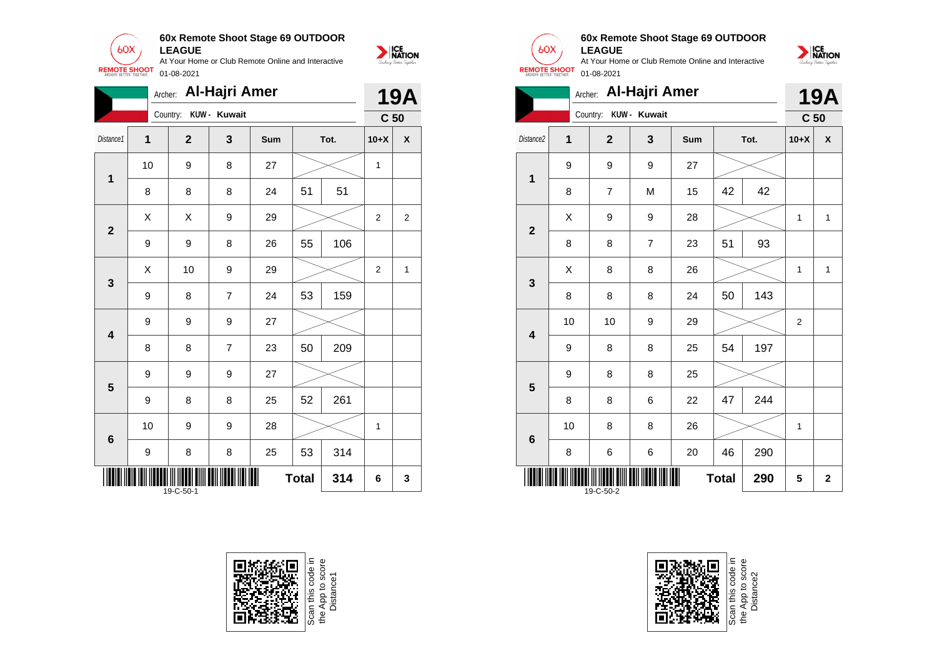![](_page_19_Picture_0.jpeg)

|                                  | Al-Hajri Amer<br>Archer: |                       |                |     |    |      |                 |                |
|----------------------------------|--------------------------|-----------------------|----------------|-----|----|------|-----------------|----------------|
|                                  |                          | Country: KUW - Kuwait |                |     |    |      | C <sub>50</sub> |                |
| Distance1                        | 1                        | $\mathbf{2}$          | 3              | Sum |    | Tot. | $10+X$          | X              |
| $\mathbf{1}$                     | 10                       | 9                     | 8              | 27  |    |      | 1               |                |
|                                  | 8                        | 8                     | 8              | 24  | 51 | 51   |                 |                |
| $\mathbf{2}$                     | Χ                        | X                     | 9              | 29  |    |      | $\overline{2}$  | $\overline{2}$ |
|                                  | 9                        | 9                     | 8              | 26  | 55 | 106  |                 |                |
| $\mathbf{3}$                     | Χ                        | 10                    | 9              | 29  |    |      | 2               | 1              |
|                                  | 9                        | 8                     | $\overline{7}$ | 24  | 53 | 159  |                 |                |
| $\overline{\mathbf{4}}$          | 9                        | 9                     | 9              | 27  |    |      |                 |                |
|                                  | 8                        | 8                     | $\overline{7}$ | 23  | 50 | 209  |                 |                |
| 5                                | 9                        | 9                     | 9              | 27  |    |      |                 |                |
|                                  | 9                        | 8                     | 8              | 25  | 52 | 261  |                 |                |
| $6\phantom{1}6$                  | 10                       | 9                     | 9              | 28  |    |      | 1               |                |
|                                  | 9                        | 8                     | 8              | 25  | 53 | 314  |                 |                |
| <b>Total</b><br>314<br>19-C-50-1 |                          |                       |                |     |    |      | 6               | 3              |

![](_page_19_Picture_2.jpeg)

![](_page_19_Picture_3.jpeg)

#### **60x Remote Shoot Stage 69 OUTDOOR LEAGUE**

At Your Home or Club Remote Online and Interactive 01-08-2021

![](_page_19_Picture_6.jpeg)

|                                  | Archer: Al-Hajri Amer |                |              |     |    |      |        |                      |  |
|----------------------------------|-----------------------|----------------|--------------|-----|----|------|--------|----------------------|--|
|                                  |                       | Country:       | KUW - Kuwait |     |    |      |        | C <sub>50</sub><br>X |  |
| Distance2                        | $\overline{1}$        | $\overline{2}$ | 3            | Sum |    | Tot. | $10+X$ |                      |  |
| $\overline{\mathbf{1}}$          | 9                     | 9              | 9            | 27  |    |      |        |                      |  |
|                                  | 8                     | 7              | M            | 15  | 42 | 42   |        |                      |  |
| $\overline{\mathbf{2}}$          | X                     | 9              | 9            | 28  |    |      | 1      | $\mathbf{1}$         |  |
|                                  | 8                     | 8              | 7            | 23  | 51 | 93   |        |                      |  |
| $\mathbf{3}$                     | Χ                     | 8              | 8            | 26  |    |      | 1      | $\mathbf{1}$         |  |
|                                  | 8                     | 8              | 8            | 24  | 50 | 143  |        |                      |  |
| $\overline{\mathbf{4}}$          | 10                    | 10             | 9            | 29  |    |      | 2      |                      |  |
|                                  | 9                     | 8              | 8            | 25  | 54 | 197  |        |                      |  |
| 5                                | 9                     | 8              | 8            | 25  |    |      |        |                      |  |
|                                  | 8                     | 8              | 6            | 22  | 47 | 244  |        |                      |  |
| $\bf 6$                          | 10                    | 8              | 8            | 26  |    |      | 1      |                      |  |
|                                  | 8                     | 6              | 6            | 20  | 46 | 290  |        |                      |  |
| <b>Total</b><br>290<br>19-C-50-2 |                       |                |              |     |    |      | 5      | $\mathbf 2$          |  |

![](_page_19_Picture_8.jpeg)

Scan this code in<br>the App to score<br>Distance2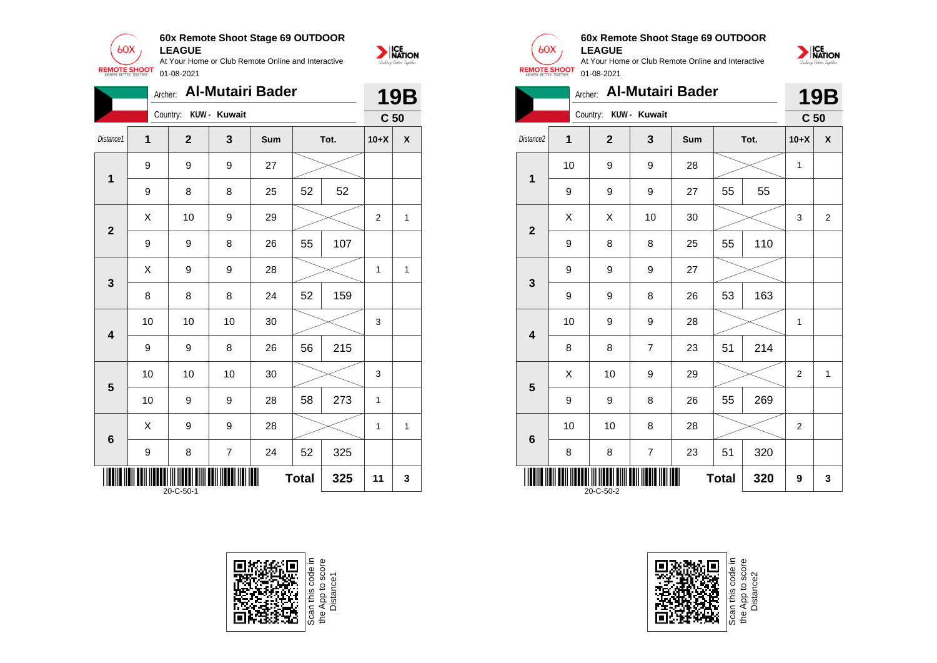![](_page_20_Picture_0.jpeg)

|                                  | <b>Al-Mutairi Bader</b><br>Archer: |                       |                  |     |    |      |                 | 19B          |
|----------------------------------|------------------------------------|-----------------------|------------------|-----|----|------|-----------------|--------------|
|                                  |                                    | Country: KUW - Kuwait |                  |     |    |      | C <sub>50</sub> |              |
| Distance1                        | 1                                  | $\mathbf{2}$          | 3                | Sum |    | Tot. | $10+X$          | χ            |
| 1                                | 9                                  | 9                     | 9                | 27  |    |      |                 |              |
|                                  | 9                                  | 8                     | 8                | 25  | 52 | 52   |                 |              |
| $\overline{2}$                   | X                                  | 10                    | 9                | 29  |    |      | $\overline{2}$  | 1            |
|                                  | 9                                  | 9                     | 8                | 26  | 55 | 107  |                 |              |
| 3                                | X                                  | 9                     | 9                | 28  |    |      | $\mathbf{1}$    | $\mathbf{1}$ |
|                                  | 8                                  | 8                     | 8                | 24  | 52 | 159  |                 |              |
| $\overline{\mathbf{4}}$          | 10                                 | 10                    | 10               | 30  |    |      | 3               |              |
|                                  | 9                                  | 9                     | 8                | 26  | 56 | 215  |                 |              |
| 5                                | 10                                 | 10                    | 10               | 30  |    |      | 3               |              |
|                                  | 10                                 | 9                     | 9                | 28  | 58 | 273  | 1               |              |
| $6\phantom{1}6$                  | X                                  | 9                     | 9                | 28  |    |      | 1               | 1            |
|                                  | 9                                  | 8                     | $\boldsymbol{7}$ | 24  | 52 | 325  |                 |              |
| <b>Total</b><br>325<br>20-C-50-1 |                                    |                       |                  |     |    |      | 11              | 3            |

![](_page_20_Picture_2.jpeg)

![](_page_20_Picture_3.jpeg)

![](_page_20_Picture_4.jpeg)

**1**

**2**

**3**

**4**

**5**

**6**

#### **60x Remote Shoot Stage 69 OUTDOOR LEAGUE**

At Your Home or Club Remote Online and Interactive 01-08-2021

![](_page_20_Picture_7.jpeg)

**THE THE REAL PROPERTY OF THE REAL PROPERTY AND REAL PROPERTY.** 

Scan this code in<br>the App to score<br>Distance2

 $Total | 320 | 9 | 3$ 

![](_page_20_Picture_10.jpeg)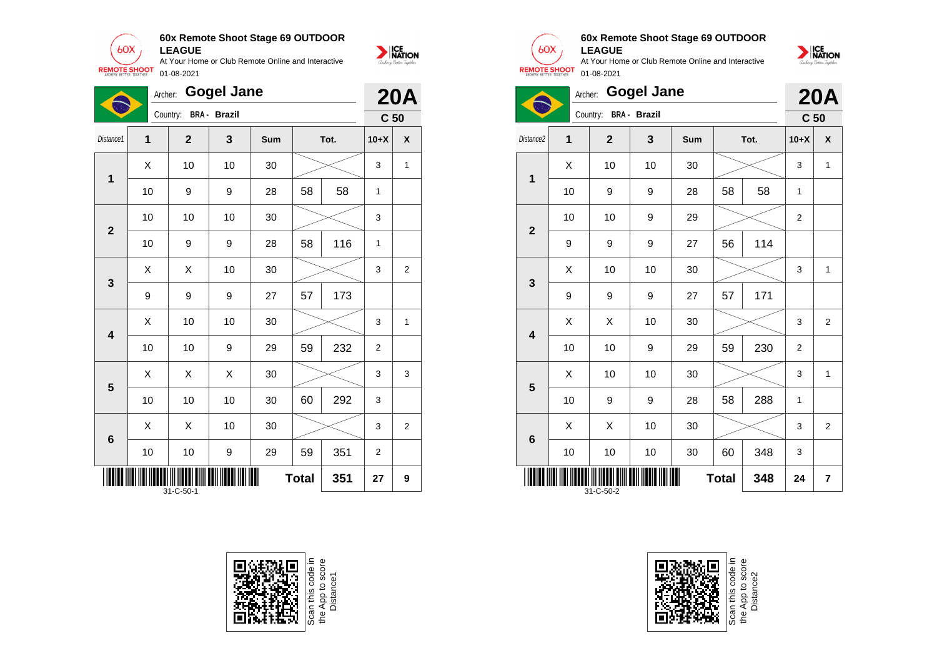**60x Remote Shoot Stage 69 OUTDOOR LEAGUE**

NATION

 $60X$ At Your Home or Club Remote Online and Interactive **REMOTE SHOOT** 01-08-2021

|                                  | <b>Gogel Jane</b><br>Archer: |                                    |                     |        |    |     |                 | <b>20A</b>     |
|----------------------------------|------------------------------|------------------------------------|---------------------|--------|----|-----|-----------------|----------------|
|                                  |                              | Country:                           | <b>BRA - Brazil</b> |        |    |     | C <sub>50</sub> |                |
| Distance1                        | 1                            | $\overline{2}$<br>3<br>Sum<br>Tot. |                     | $10+X$ | X  |     |                 |                |
| 1                                | Χ                            | 10                                 | 10                  | 30     |    |     | 3               | $\mathbf{1}$   |
|                                  | 10                           | 9                                  | 9                   | 28     | 58 | 58  | 1               |                |
| $\overline{2}$                   | 10                           | 10                                 | 10                  | 30     |    |     | 3               |                |
|                                  | 10                           | 9                                  | 9                   | 28     | 58 | 116 | 1               |                |
| $\mathbf{3}$                     | X                            | X                                  | 10                  | 30     |    |     | 3               | $\overline{2}$ |
|                                  | 9                            | 9                                  | 9                   | 27     | 57 | 173 |                 |                |
| $\overline{\mathbf{4}}$          | X                            | 10                                 | 10                  | 30     |    |     | 3               | 1              |
|                                  | 10                           | 10                                 | $\boldsymbol{9}$    | 29     | 59 | 232 | $\mathbf 2$     |                |
| 5                                | Χ                            | X                                  | X                   | 30     |    |     | 3               | 3              |
|                                  | 10                           | 10                                 | 10                  | 30     | 60 | 292 | 3               |                |
| $6\phantom{1}6$                  | Χ                            | X                                  | 10                  | 30     |    |     | 3               | $\overline{2}$ |
|                                  | 10                           | 10                                 | 9                   | 29     | 59 | 351 | $\overline{2}$  |                |
| <b>Total</b><br>351<br>31-C-50-1 |                              |                                    |                     |        |    | 27  | 9               |                |

![](_page_21_Picture_3.jpeg)

![](_page_21_Picture_4.jpeg)

#### **60x Remote Shoot Stage 69 OUTDOOR LEAGUE**

At Your Home or Club Remote Online and Interactive 01-08-2021

![](_page_21_Picture_7.jpeg)

![](_page_21_Picture_8.jpeg)

**20A**

|                         | Country.                               |                         | C <sub>50</sub> |     |      |     |                  |                |
|-------------------------|----------------------------------------|-------------------------|-----------------|-----|------|-----|------------------|----------------|
| Distance2               | 1                                      | $\overline{\mathbf{2}}$ | 3               | Sum | Tot. |     | $10+X$           | X              |
| $\mathbf 1$             | Χ                                      | 10                      | 10              | 30  |      |     | 3                | $\mathbf{1}$   |
|                         | 10                                     | 9                       | 9               | 28  | 58   | 58  | 1                |                |
| $\overline{\mathbf{2}}$ | 10                                     | 10                      | 9               | 29  |      |     | $\boldsymbol{2}$ |                |
|                         | 9                                      | 9                       | 9               | 27  | 56   | 114 |                  |                |
| $\mathbf{3}$            | Χ                                      | 10                      | 10              | 30  |      |     | 3                | 1              |
|                         | 9                                      | 9                       | 9               | 27  | 57   | 171 |                  |                |
| $\overline{\mathbf{4}}$ | Χ                                      | Χ                       | 10              | 30  |      |     | 3                | $\overline{c}$ |
|                         | 10                                     | 10                      | 9               | 29  | 59   | 230 | $\overline{2}$   |                |
| $5\phantom{1}$          | Χ                                      | 10                      | 10              | 30  |      |     | 3                | 1              |
|                         | 10                                     | 9                       | 9               | 28  | 58   | 288 | 1                |                |
| $6\phantom{1}$          | Χ                                      | Χ                       | 10              | 30  |      |     | 3                | 2              |
|                         | 10                                     | 10                      | 10              | 30  | 60   | 348 | 3                |                |
|                         | <b>Total</b><br>348<br>24<br>31-C-50-2 |                         |                 |     |      |     |                  | 7              |

![](_page_21_Picture_11.jpeg)

![](_page_21_Picture_12.jpeg)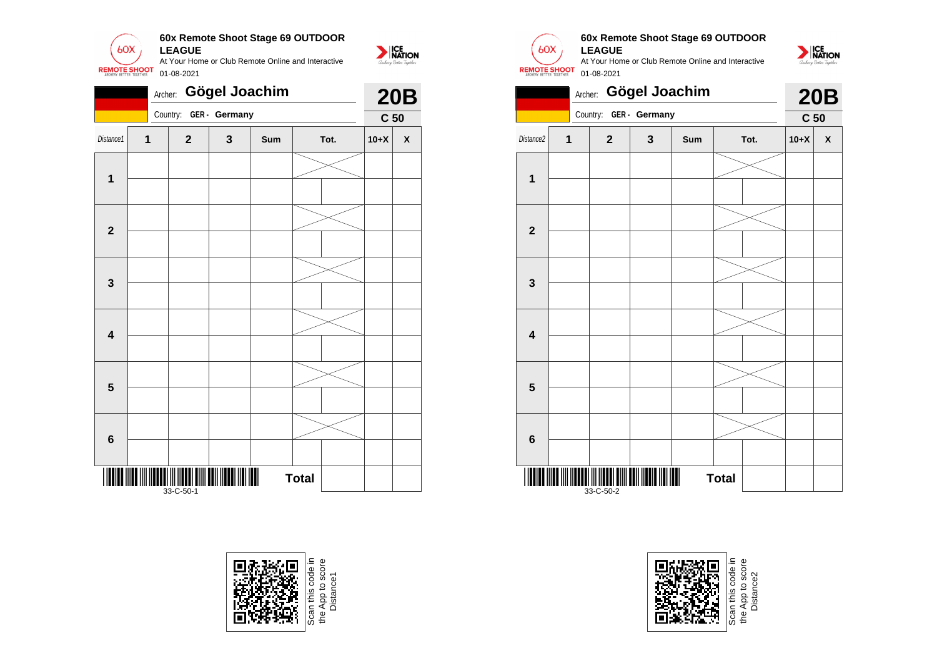![](_page_22_Picture_0.jpeg)

|                         | Gögel Joachim<br>Archer: |                                         |               |     |              |  |                 |   |  |  |
|-------------------------|--------------------------|-----------------------------------------|---------------|-----|--------------|--|-----------------|---|--|--|
|                         |                          | Country:                                | GER - Germany |     |              |  | C <sub>50</sub> |   |  |  |
| Distance1               | 1                        | $\mathbf{2}$                            | 3             | Sum | Tot.         |  |                 | χ |  |  |
|                         |                          |                                         |               |     |              |  |                 |   |  |  |
| $\mathbf{1}$            |                          |                                         |               |     |              |  |                 |   |  |  |
|                         |                          |                                         |               |     |              |  |                 |   |  |  |
| $\mathbf{2}$            |                          |                                         |               |     |              |  |                 |   |  |  |
|                         |                          |                                         |               |     |              |  |                 |   |  |  |
| $\mathbf{3}$            |                          |                                         |               |     |              |  |                 |   |  |  |
|                         |                          |                                         |               |     |              |  |                 |   |  |  |
| $\overline{\mathbf{4}}$ |                          |                                         |               |     |              |  |                 |   |  |  |
| $\overline{\mathbf{5}}$ |                          |                                         |               |     |              |  |                 |   |  |  |
|                         |                          |                                         |               |     |              |  |                 |   |  |  |
|                         |                          |                                         |               |     |              |  |                 |   |  |  |
| $\bf 6$                 |                          |                                         |               |     |              |  |                 |   |  |  |
| IIIII                   |                          | <b>ATITULI III III III</b><br>33-C-50-1 |               |     | <b>Total</b> |  |                 |   |  |  |

![](_page_22_Picture_2.jpeg)

e App to score<br>Distance 1

![](_page_22_Picture_4.jpeg)

#### **60x Remote Shoot Stage 69 OUTDOOR LEAGUE**

![](_page_22_Picture_7.jpeg)

![](_page_22_Picture_8.jpeg)

![](_page_22_Picture_9.jpeg)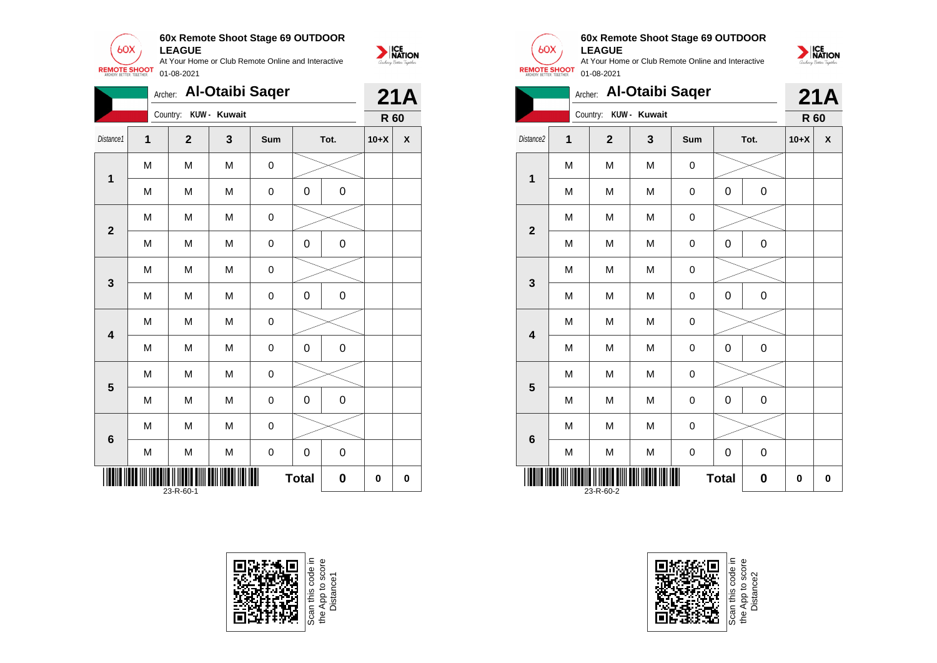![](_page_23_Picture_0.jpeg)

|                                                 | Archer: |                | <b>Al-Otaibi Sager</b> |             |             |             |        | 21A      |
|-------------------------------------------------|---------|----------------|------------------------|-------------|-------------|-------------|--------|----------|
|                                                 |         | Country:       | KUW - Kuwait           |             |             |             | R 60   |          |
| Distance1                                       | 1       | $\overline{2}$ | 3                      | Sum         |             | Tot.        | $10+X$ | X        |
| $\mathbf 1$                                     | M       | M              | M                      | 0           |             |             |        |          |
|                                                 | M       | M              | M                      | 0           | $\mathbf 0$ | $\mathbf 0$ |        |          |
| $\overline{\mathbf{2}}$                         | M       | M              | M                      | $\pmb{0}$   |             |             |        |          |
|                                                 | M       | M              | M                      | 0           | 0           | $\pmb{0}$   |        |          |
| 3                                               | M       | M              | M                      | 0           |             |             |        |          |
|                                                 | M       | M              | M                      | 0           | 0           | $\pmb{0}$   |        |          |
| $\overline{\mathbf{4}}$                         | M       | M              | M                      | 0           |             |             |        |          |
|                                                 | M       | M              | M                      | 0           | 0           | 0           |        |          |
| 5                                               | M       | M              | M                      | 0           |             |             |        |          |
|                                                 | M       | M              | M                      | 0           | 0           | $\pmb{0}$   |        |          |
| 6                                               | M       | M              | M                      | 0           |             |             |        |          |
|                                                 | M       | M              | M                      | $\mathbf 0$ | 0           | $\mathbf 0$ |        |          |
| Ⅲ<br><b>Total</b><br>$\bf{0}$<br>0<br>23-R-60-1 |         |                |                        |             |             |             |        | $\bf{0}$ |

![](_page_23_Picture_2.jpeg)

![](_page_23_Picture_3.jpeg)

![](_page_23_Picture_4.jpeg)

**1**

**2**

**3**

**4**

**5**

**6**

#### **60x Remote Shoot Stage 69 OUTDOOR LEAGUE**

NATION

At Your Home or Club Remote Online and Interactive 01-08-2021

![](_page_23_Picture_7.jpeg)

Scan this code in<br>the App to score<br>Distance2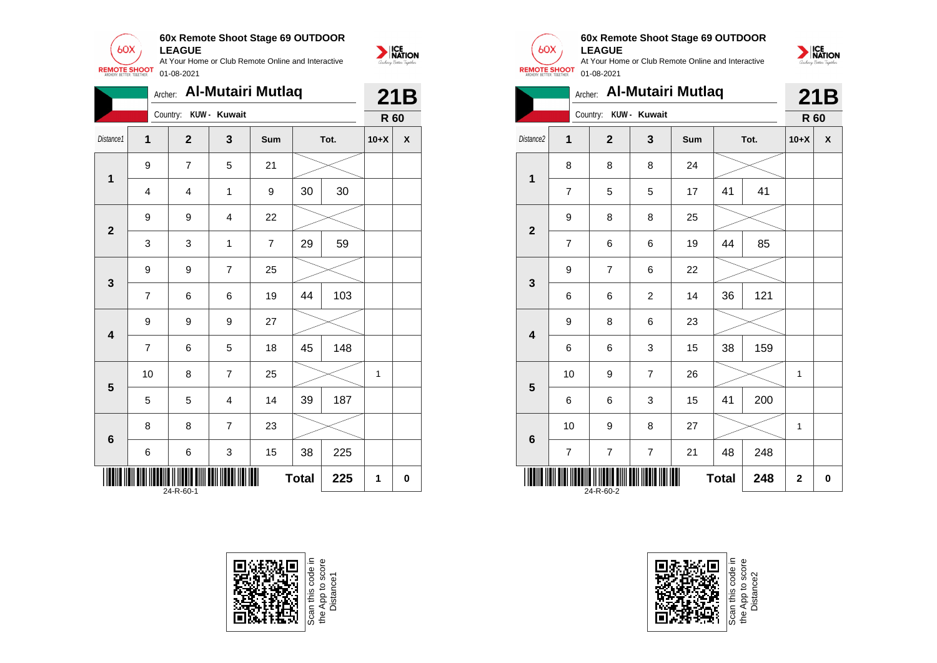![](_page_24_Picture_0.jpeg)

|                         |                                  | Archer:                 |                | <b>Al-Mutairi Mutlaq</b> |    |      |        | 21B                |
|-------------------------|----------------------------------|-------------------------|----------------|--------------------------|----|------|--------|--------------------|
|                         |                                  | Country: KUW - Kuwait   |                |                          |    |      | R 60   |                    |
| Distance1               | $\mathbf 1$                      | $\overline{2}$          | 3              | Sum                      |    | Tot. | $10+X$ | $\pmb{\mathsf{x}}$ |
| $\mathbf 1$             | $\boldsymbol{9}$                 | $\overline{\mathbf{7}}$ | 5              | 21                       |    |      |        |                    |
|                         | $\overline{4}$                   | 4                       | 1              | 9                        | 30 | 30   |        |                    |
| $\overline{2}$          | 9                                | 9                       | 4              | 22                       |    |      |        |                    |
|                         | 3                                | 3                       | $\mathbf{1}$   | $\overline{7}$           | 29 | 59   |        |                    |
| $\mathbf{3}$            | 9                                | 9                       | $\overline{7}$ | 25                       |    |      |        |                    |
|                         | $\overline{7}$                   | 6                       | 6              | 19                       | 44 | 103  |        |                    |
| $\overline{\mathbf{4}}$ | 9                                | 9                       | 9              | 27                       |    |      |        |                    |
|                         | $\overline{7}$                   | 6                       | 5              | 18                       | 45 | 148  |        |                    |
| 5                       | 10                               | 8                       | $\overline{7}$ | 25                       |    |      | 1      |                    |
|                         | 5                                | 5                       | 4              | 14                       | 39 | 187  |        |                    |
| 6                       | 8                                | 8                       | $\overline{7}$ | 23                       |    |      |        |                    |
|                         | 6                                | 6                       | 3              | 15                       | 38 | 225  |        |                    |
|                         | <b>Total</b><br>225<br>24-R-60-1 |                         |                |                          |    |      | 1      | 0                  |

![](_page_24_Picture_2.jpeg)

![](_page_24_Picture_3.jpeg)

![](_page_24_Picture_4.jpeg)

#### **60x Remote Shoot Stage 69 OUTDOOR LEAGUE**

At Your Home or Club Remote Online and Interactive **REMOTE SHOOT** 01-08-2021

![](_page_24_Picture_7.jpeg)

|                         |                                  |                       |                | Archer: Al-Mutairi Mutlaq |    |      |                         | 21B<br>R 60<br>X |  |
|-------------------------|----------------------------------|-----------------------|----------------|---------------------------|----|------|-------------------------|------------------|--|
|                         |                                  | Country: KUW - Kuwait |                |                           |    |      |                         |                  |  |
| Distance2               | 1                                | $\overline{2}$        | 3              | Sum                       |    | Tot. | $10+X$                  |                  |  |
| 1                       | 8                                | 8                     | 8              | 24                        |    |      |                         |                  |  |
|                         | $\overline{7}$                   | 5                     | 5              | 17                        | 41 | 41   |                         |                  |  |
| $\overline{\mathbf{2}}$ | 9                                | 8                     | 8              | 25                        |    |      |                         |                  |  |
|                         | $\overline{7}$                   | 6                     | 6              | 19                        | 44 | 85   |                         |                  |  |
| 3                       | 9                                | $\overline{7}$        | 6              | 22                        |    |      |                         |                  |  |
|                         | 6                                | 6                     | $\overline{c}$ | 14                        | 36 | 121  |                         |                  |  |
| $\overline{\mathbf{4}}$ | 9                                | 8                     | 6              | 23                        |    |      |                         |                  |  |
|                         | 6                                | 6                     | 3              | 15                        | 38 | 159  |                         |                  |  |
| 5                       | 10                               | 9                     | $\overline{7}$ | 26                        |    |      | $\mathbf{1}$            |                  |  |
|                         | 6                                | 6                     | 3              | 15                        | 41 | 200  |                         |                  |  |
| 6                       | 10                               | 9                     | 8              | 27                        |    |      | 1                       |                  |  |
|                         | $\overline{7}$                   | $\overline{7}$        | $\overline{7}$ | 21                        | 48 | 248  |                         |                  |  |
|                         | 248<br><b>Total</b><br>24-R-60-2 |                       |                |                           |    |      | $\overline{\mathbf{2}}$ | 0                |  |

![](_page_24_Picture_9.jpeg)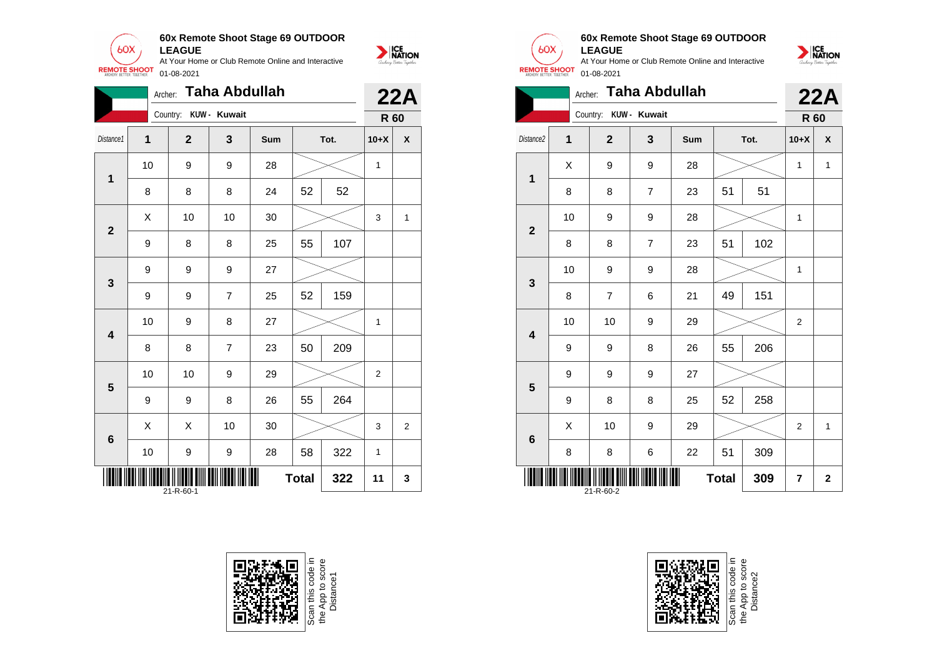![](_page_25_Picture_0.jpeg)

|                         | Archer:                                |                       | Taha Abdullah  |     |    |      |                | <b>22A</b>         |  |
|-------------------------|----------------------------------------|-----------------------|----------------|-----|----|------|----------------|--------------------|--|
|                         |                                        | Country: KUW - Kuwait |                |     |    |      | R 60           |                    |  |
| Distance1               | 1                                      | $\mathbf{2}$          | 3              | Sum |    | Tot. | $10+X$         | $\pmb{\mathsf{X}}$ |  |
| $\mathbf{1}$            | 10                                     | 9                     | 9              | 28  |    |      | $\mathbf{1}$   |                    |  |
|                         | 8                                      | 8                     | 8              | 24  | 52 | 52   |                |                    |  |
| $\mathbf{2}$            | Χ                                      | 10                    | 10             | 30  |    |      | 3              | 1                  |  |
|                         | 9                                      | 8                     | 8              | 25  | 55 | 107  |                |                    |  |
| 3                       | 9                                      | 9                     | 9              | 27  |    |      |                |                    |  |
|                         | 9                                      | 9                     | $\overline{7}$ | 25  | 52 | 159  |                |                    |  |
| $\overline{\mathbf{4}}$ | 10                                     | 9                     | 8              | 27  |    |      | 1              |                    |  |
|                         | 8                                      | 8                     | $\overline{7}$ | 23  | 50 | 209  |                |                    |  |
| 5                       | 10                                     | 10                    | 9              | 29  |    |      | $\overline{2}$ |                    |  |
|                         | 9                                      | 9                     | 8              | 26  | 55 | 264  |                |                    |  |
| 6                       | X                                      | X                     | 10             | 30  |    |      | 3              | $\overline{2}$     |  |
|                         | 10                                     | 9                     | 9              | 28  | 58 | 322  | 1              |                    |  |
|                         | 322<br><b>Total</b><br>11<br>21-R-60-1 |                       |                |     |    |      |                | 3                  |  |

![](_page_25_Picture_2.jpeg)

![](_page_25_Picture_3.jpeg)

#### **60x Remote Shoot Stage 69 OUTDOOR LEAGUE**

![](_page_25_Picture_6.jpeg)

|                                            | <b>Taha Abdullah</b><br>Archer: |                |                |     |    |      |                |                    |  |
|--------------------------------------------|---------------------------------|----------------|----------------|-----|----|------|----------------|--------------------|--|
|                                            |                                 | Country:       | KUW - Kuwait   |     |    |      | R 60           | 22A                |  |
| Distance2                                  | $\overline{1}$                  | $\overline{2}$ | 3              | Sum |    | Tot. | $10+X$         | $\pmb{\mathsf{X}}$ |  |
| 1                                          | X                               | 9              | 9              | 28  |    |      |                | 1                  |  |
|                                            | 8                               | 8              | $\overline{7}$ | 23  | 51 | 51   |                |                    |  |
| $\overline{\mathbf{2}}$                    | 10                              | 9              | 9              | 28  |    |      | 1              |                    |  |
|                                            | 8                               | 8              | 7              | 23  | 51 | 102  |                |                    |  |
| 3                                          | 10                              | 9              | 9              | 28  |    |      | $\mathbf{1}$   |                    |  |
|                                            | 8                               | $\overline{7}$ | 6              | 21  | 49 | 151  |                |                    |  |
| $\overline{\mathbf{4}}$                    | 10                              | 10             | 9              | 29  |    |      | 2              |                    |  |
|                                            | 9                               | 9              | 8              | 26  | 55 | 206  |                |                    |  |
| 5                                          | 9                               | 9              | 9              | 27  |    |      |                |                    |  |
|                                            | 9                               | 8              | 8              | 25  | 52 | 258  |                |                    |  |
| 6                                          | X                               | 10             | 9              | 29  |    |      | $\overline{2}$ | $\mathbf{1}$       |  |
|                                            | 8                               | 8              | 6              | 22  | 51 | 309  |                |                    |  |
| Ш<br><b>Total</b><br>309<br>7<br>21-R-60-2 |                                 |                |                |     |    |      |                | $\mathbf 2$        |  |

![](_page_25_Picture_8.jpeg)

Scan this code<br>the App to sco<br>Distance2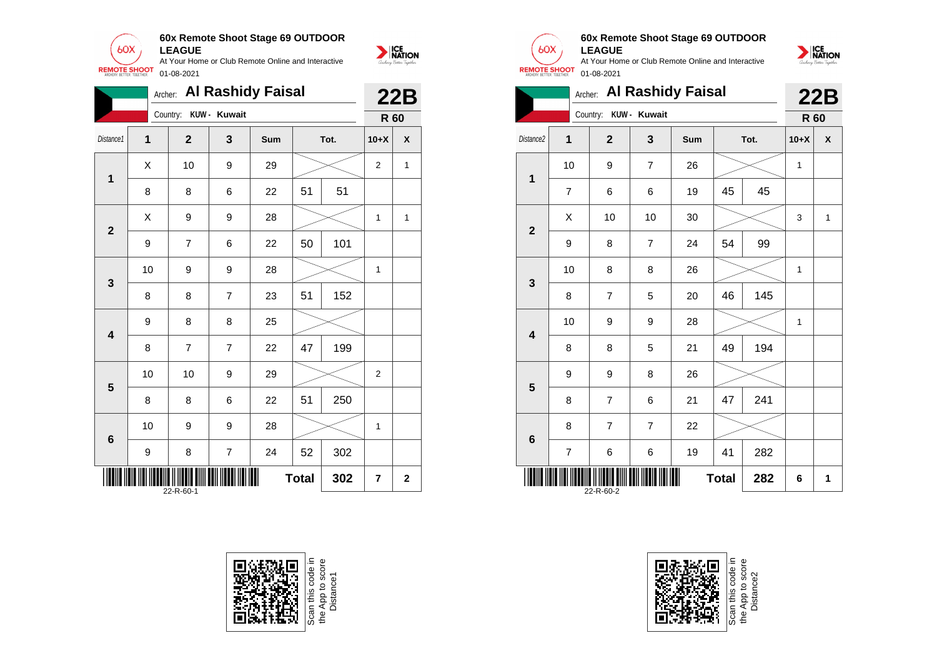![](_page_26_Picture_0.jpeg)

|                         |                  | Archer:        |                | <b>Al Rashidy Faisal</b> |              |      |                | <b>22B</b>         |
|-------------------------|------------------|----------------|----------------|--------------------------|--------------|------|----------------|--------------------|
|                         |                  | Country:       | KUW - Kuwait   |                          |              |      | R 60           |                    |
| Distance1               | $\mathbf{1}$     | $\mathbf{2}$   | 3              | Sum                      |              | Tot. | $10+X$         | $\pmb{\mathsf{X}}$ |
| $\mathbf 1$             | Χ                | 10             | 9              | 29                       |              |      | $\mathbf{2}$   | 1                  |
|                         | 8                | 8              | 6              | 22                       | 51           | 51   |                |                    |
| $\mathbf{2}$            | X                | 9              | 9              | 28                       |              |      | 1              | 1                  |
|                         | 9                | $\overline{7}$ | 6              | 22                       | 50           | 101  |                |                    |
| $\mathbf{3}$            | 10               | 9              | 9              | 28                       |              |      | 1              |                    |
|                         | 8                | 8              | $\overline{7}$ | 23                       | 51           | 152  |                |                    |
| $\overline{\mathbf{4}}$ | 9                | 8              | 8              | 25                       |              |      |                |                    |
|                         | 8                | $\overline{7}$ | $\overline{7}$ | 22                       | 47           | 199  |                |                    |
| $5\phantom{1}$          | 10               | 10             | 9              | 29                       |              |      | $\overline{2}$ |                    |
|                         | 8                | 8              | 6              | 22                       | 51           | 250  |                |                    |
| $\bf 6$                 | 10               | 9              | 9              | 28                       |              |      | 1              |                    |
|                         | $\boldsymbol{9}$ | 8              | $\overline{7}$ | 24                       | 52           | 302  |                |                    |
|                         |                  | 22-R-60-1      |                |                          | <b>Total</b> | 302  | 7              | $\overline{2}$     |

![](_page_26_Picture_2.jpeg)

![](_page_26_Picture_3.jpeg)

 $60X$ 

NATION

### **60x Remote Shoot Stage 69 OUTDOOR LEAGUE**

![](_page_26_Picture_6.jpeg)

|                         | Archer: Al Rashidy Faisal        |                       |                |     |    |      |      |              |
|-------------------------|----------------------------------|-----------------------|----------------|-----|----|------|------|--------------|
|                         |                                  | Country: KUW - Kuwait |                |     |    |      | R 60 |              |
| Distance <sub>2</sub>   | $\overline{1}$                   | $\overline{2}$        | 3              | Sum |    | Tot. |      | X            |
| $\mathbf 1$             | 10                               | 9                     | $\overline{7}$ | 26  |    |      |      |              |
|                         | 7                                | 6                     | 6              | 19  | 45 | 45   |      |              |
| $\overline{2}$          | Χ                                | 10                    | 10             | 30  |    |      | 3    | $\mathbf{1}$ |
|                         | 9                                | 8                     | $\overline{7}$ | 24  | 54 | 99   |      |              |
| 3                       | 10                               | 8                     | 8              | 26  |    |      | 1    |              |
|                         | 8                                | 7                     | 5              | 20  | 46 | 145  |      |              |
| $\overline{\mathbf{4}}$ | 10                               | 9                     | 9              | 28  |    |      | 1    |              |
|                         | 8                                | 8                     | 5              | 21  | 49 | 194  |      |              |
| 5                       | 9                                | 9                     | 8              | 26  |    |      |      |              |
|                         | 8                                | 7                     | 6              | 21  | 47 | 241  |      |              |
| $6\phantom{1}$          | 8                                | 7                     | $\overline{7}$ | 22  |    |      |      |              |
|                         | 7                                | 6                     | 6              | 19  | 41 | 282  |      |              |
|                         | 282<br><b>Total</b><br>22-R-60-2 |                       |                |     |    |      |      | 1            |

![](_page_26_Picture_8.jpeg)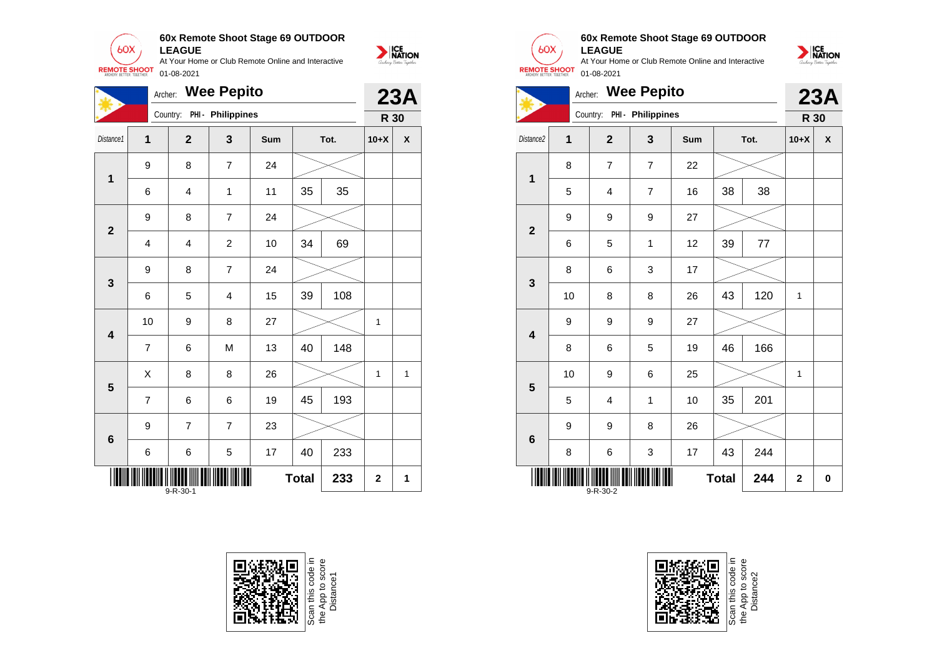![](_page_27_Picture_0.jpeg)

|                         | Archer:                                 |                | <b>Wee Pepito</b>       |     |    |      |              | <b>23A</b> |
|-------------------------|-----------------------------------------|----------------|-------------------------|-----|----|------|--------------|------------|
|                         |                                         | Country:       | PHI - Philippines       |     |    |      | R 30         |            |
| Distance1               | 1                                       | $\mathbf{2}$   | 3                       | Sum |    | Tot. | $10+X$       | X          |
| $\mathbf 1$             | 9                                       | 8              | 7                       | 24  |    |      |              |            |
|                         | 6                                       | 4              | 1                       | 11  | 35 | 35   |              |            |
| $\overline{2}$          | 9                                       | 8              | $\overline{7}$          | 24  |    |      |              |            |
|                         | 4                                       | 4              | $\overline{c}$          | 10  | 34 | 69   |              |            |
| $\mathbf{3}$            | 9                                       | 8              | 7                       | 24  |    |      |              |            |
|                         | 6                                       | 5              | $\overline{\mathbf{4}}$ | 15  | 39 | 108  |              |            |
| 4                       | 10                                      | 9              | 8                       | 27  |    |      | 1            |            |
|                         | $\overline{7}$                          | 6              | M                       | 13  | 40 | 148  |              |            |
| $\overline{\mathbf{5}}$ | X                                       | 8              | 8                       | 26  |    |      | $\mathbf{1}$ | 1          |
|                         | $\overline{7}$                          | 6              | 6                       | 19  | 45 | 193  |              |            |
| $\bf 6$                 | 9                                       | $\overline{7}$ | $\overline{7}$          | 23  |    |      |              |            |
|                         | 6                                       | 6              | 5                       | 17  | 40 | 233  |              |            |
|                         | <b>Total</b><br>233<br>$9 - R - 30 - 1$ |                |                         |     |    |      |              | 1          |

![](_page_27_Picture_2.jpeg)

![](_page_27_Picture_3.jpeg)

![](_page_27_Picture_4.jpeg)

#### **60x Remote Shoot Stage 69 OUTDOOR LEAGUE**

![](_page_27_Picture_7.jpeg)

![](_page_27_Picture_8.jpeg)

![](_page_27_Picture_9.jpeg)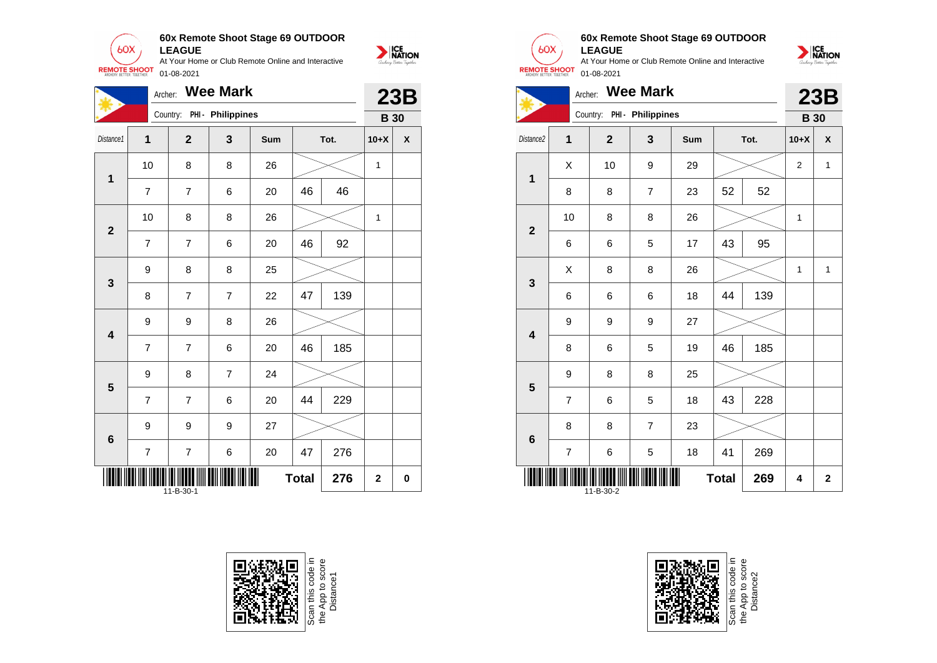**60x Remote Shoot Stage 69 OUTDOOR**  $60X$ **LEAGUE** At Your Home or Club Remote Online and Interactive

01-08-2021

**REMOTE SHOOT** 

![](_page_28_Picture_1.jpeg)

|                         | Archer:                               |                | <b>Wee Mark</b>   |     |    |      |              | 23B         |
|-------------------------|---------------------------------------|----------------|-------------------|-----|----|------|--------------|-------------|
|                         |                                       | Country:       | PHI - Philippines |     |    |      | <b>B</b> 30  |             |
| Distance1               | $\overline{1}$                        | $\mathbf{2}$   | 3                 | Sum |    | Tot. | $10+X$       | X           |
| $\mathbf 1$             | 10                                    | 8              | 8                 | 26  |    |      | $\mathbf{1}$ |             |
|                         | $\overline{7}$                        | $\overline{7}$ | 6                 | 20  | 46 | 46   |              |             |
| $\overline{\mathbf{2}}$ | 10                                    | 8              | 8                 | 26  |    |      | 1            |             |
|                         | $\overline{7}$                        | $\overline{7}$ | 6                 | 20  | 46 | 92   |              |             |
|                         | 9                                     | 8              | 8                 | 25  |    |      |              |             |
| $\mathbf{3}$            | 8                                     | $\overline{7}$ | $\overline{7}$    | 22  | 47 | 139  |              |             |
| $\overline{\mathbf{4}}$ | 9                                     | 9              | 8                 | 26  |    |      |              |             |
|                         | 7                                     | $\overline{7}$ | 6                 | 20  | 46 | 185  |              |             |
| $\overline{\mathbf{5}}$ | 9                                     | 8              | $\overline{7}$    | 24  |    |      |              |             |
|                         | $\overline{7}$                        | $\overline{7}$ | 6                 | 20  | 44 | 229  |              |             |
| $\bf 6$                 | 9                                     | 9              | 9                 | 27  |    |      |              |             |
|                         | $\overline{7}$                        | $\overline{7}$ | 6                 | 20  | 47 | 276  |              |             |
|                         | Ш<br><b>Total</b><br>276<br>11-B-30-1 |                |                   |     |    |      | $\mathbf 2$  | $\mathbf 0$ |

![](_page_28_Picture_3.jpeg)

![](_page_28_Picture_4.jpeg)

![](_page_28_Picture_6.jpeg)

# **60x Remote Shoot Stage 69 OUTDOOR**

**LEAGUE** At Your Home or Club Remote Online and Interactive 01-08-2021

![](_page_28_Picture_9.jpeg)

|                         | Archer: Wee Mark |                            |                |     |              |      |                |              |
|-------------------------|------------------|----------------------------|----------------|-----|--------------|------|----------------|--------------|
|                         |                  | Country: PHI - Philippines |                |     |              |      | <b>B</b> 30    | <b>23B</b>   |
| Distance2               | $\overline{1}$   | $\overline{2}$             | 3              | Sum |              | Tot. | $10+X$         | X            |
| 1                       | X                | 10                         | 9              | 29  |              |      | $\overline{2}$ | $\mathbf{1}$ |
|                         | 8                | 8                          | $\overline{7}$ | 23  | 52           | 52   |                |              |
| $\overline{2}$          | 10               | 8                          | 8              | 26  |              |      | 1              |              |
|                         | 6                | 6                          | 5              | 17  | 43           | 95   |                |              |
| 3                       | X                | 8                          | 8              | 26  |              |      | 1              | $\mathbf{1}$ |
|                         | 6                | 6                          | 6              | 18  | 44           | 139  |                |              |
| $\overline{\mathbf{4}}$ | 9                | 9                          | 9              | 27  |              |      |                |              |
|                         | 8                | 6                          | 5              | 19  | 46           | 185  |                |              |
| $5\phantom{1}$          | 9                | 8                          | 8              | 25  |              |      |                |              |
|                         | 7                | 6                          | 5              | 18  | 43           | 228  |                |              |
|                         | 8                | 8                          | $\overline{7}$ | 23  |              |      |                |              |
| $6\phantom{1}$          | $\overline{7}$   | 6                          | 5              | 18  | 41           | 269  |                |              |
|                         |                  | $11 - B - 30 - 2$          |                |     | <b>Total</b> | 269  | 4              | $\mathbf 2$  |

![](_page_28_Picture_11.jpeg)

Scan this code<br>the App to scor<br>Distance2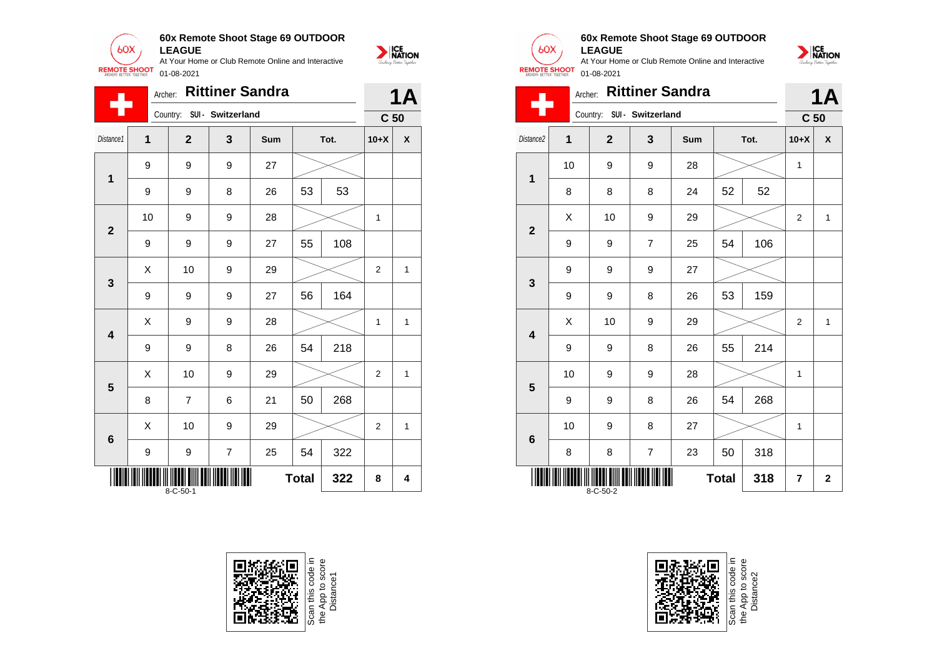![](_page_29_Picture_0.jpeg)

|                | Archer:          |                  | <b>Rittiner Sandra</b> |     |              |      |                 | 1Α                 |  |
|----------------|------------------|------------------|------------------------|-----|--------------|------|-----------------|--------------------|--|
|                |                  | Country:         | SUI - Switzerland      |     |              |      | C <sub>50</sub> |                    |  |
| Distance1      | 1                | $\mathbf{2}$     | 3                      | Sum |              | Tot. | $10+X$          | $\pmb{\mathsf{X}}$ |  |
| $\mathbf 1$    | 9                | 9                | 9                      | 27  |              |      |                 |                    |  |
|                | 9                | 9                | 8                      | 26  | 53           | 53   |                 |                    |  |
| $\overline{2}$ | 10               | 9                | 9                      | 28  |              |      | 1               |                    |  |
|                | 9                | 9                | 9                      | 27  | 55           | 108  |                 |                    |  |
| $\mathbf{3}$   | Χ                | 10               | 9                      | 29  |              |      | $\overline{c}$  | $\mathbf{1}$       |  |
|                | $\boldsymbol{9}$ | 9                | 9                      | 27  | 56           | 164  |                 |                    |  |
| 4              | Χ                | 9                | 9                      | 28  |              |      | 1               | $\mathbf{1}$       |  |
|                | 9                | 9                | 8                      | 26  | 54           | 218  |                 |                    |  |
| 5              | Χ                | 10               | 9                      | 29  |              |      | $\overline{2}$  | $\mathbf{1}$       |  |
|                | 8                | $\overline{7}$   | 6                      | 21  | 50           | 268  |                 |                    |  |
| 6              | X                | 10               | 9                      | 29  |              |      | $\overline{2}$  | 1                  |  |
|                | 9                | 9                | $\overline{7}$         | 25  | 54           | 322  |                 |                    |  |
|                |                  | $8 - C - 50 - 1$ |                        |     | <b>Total</b> | 322  | 8               | 4                  |  |

![](_page_29_Picture_2.jpeg)

![](_page_29_Picture_3.jpeg)

#### **60x Remote Shoot Stage 69 OUTDOOR LEAGUE**

NATION

![](_page_29_Picture_6.jpeg)

![](_page_29_Picture_9.jpeg)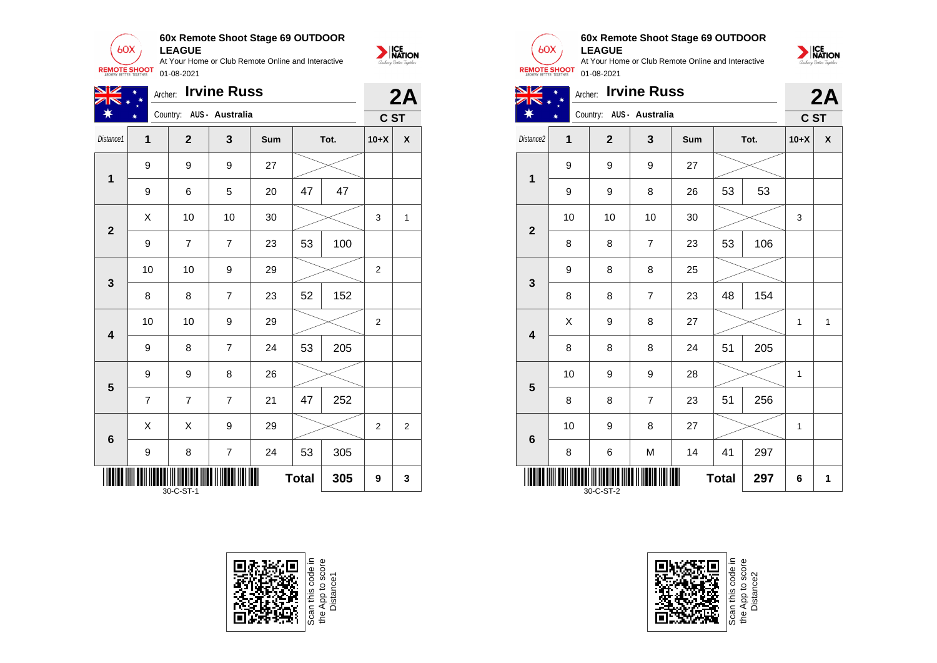![](_page_30_Picture_0.jpeg)

| NZ                                    | <b>Irvine Russ</b><br>Archer: |                          |                         |     |    |      |                |                    |
|---------------------------------------|-------------------------------|--------------------------|-------------------------|-----|----|------|----------------|--------------------|
|                                       |                               | Country: AUS - Australia |                         |     |    |      | C ST           | 2A                 |
| Distance1                             | 1                             | $\mathbf{2}$             | 3                       | Sum |    | Tot. | $10+X$         | $\pmb{\mathsf{x}}$ |
| 1                                     | 9                             | 9                        | 9                       | 27  |    |      |                |                    |
|                                       | 9                             | 6                        | 5                       | 20  | 47 | 47   |                |                    |
| $\overline{2}$                        | X                             | 10                       | 10                      | 30  |    |      | 3              | 1                  |
|                                       | 9                             | 7                        | $\overline{7}$          | 23  | 53 | 100  |                |                    |
| $\overline{\mathbf{3}}$               | 10                            | 10                       | 9                       | 29  |    |      | $\mathbf{2}$   |                    |
|                                       | 8                             | 8                        | $\overline{7}$          | 23  | 52 | 152  |                |                    |
| $\overline{\mathbf{4}}$               | 10                            | 10                       | 9                       | 29  |    |      | $\overline{2}$ |                    |
|                                       | 9                             | 8                        | $\overline{7}$          | 24  | 53 | 205  |                |                    |
| 5                                     | 9                             | 9                        | 8                       | 26  |    |      |                |                    |
|                                       | $\overline{7}$                | $\overline{7}$           | $\overline{7}$          | 21  | 47 | 252  |                |                    |
| $6\phantom{1}$                        | X                             | X                        | 9                       | 29  |    |      | $\overline{2}$ | $\overline{2}$     |
|                                       | 9                             | 8                        | $\overline{\mathbf{7}}$ | 24  | 53 | 305  |                |                    |
| ∥<br><b>Total</b><br>305<br>30-C-ST-1 |                               |                          |                         |     |    |      | 9              | 3                  |

![](_page_30_Picture_2.jpeg)

![](_page_30_Picture_3.jpeg)

Т

NATION

### **60x Remote Shoot Stage 69 OUTDOOR**

![](_page_30_Picture_6.jpeg)

| TN +                  | ☀      | Archer: Irvine Russ      |   |     |    |      |        | 2A |
|-----------------------|--------|--------------------------|---|-----|----|------|--------|----|
|                       | $\ast$ | Country: AUS - Australia |   |     |    |      | C ST   |    |
| Distance <sub>2</sub> |        | 2                        | 3 | Sum |    | Tot. | $10+X$ | X  |
|                       | 9      | 9                        | 9 | 27  |    |      |        |    |
|                       | 9      | 9                        | 8 | 26  | 53 | 53   |        |    |
|                       |        |                          |   |     |    |      |        |    |

| $\overline{2}$                        | 10 | 10               | 10                       | 30 |    |     | 3 |   |
|---------------------------------------|----|------------------|--------------------------|----|----|-----|---|---|
|                                       | 8  | 8                | $\overline{7}$           | 23 | 53 | 106 |   |   |
| $\mathbf{3}$                          | 9  | 8                | 8                        | 25 |    |     |   |   |
|                                       | 8  | 8                | $\overline{\mathcal{I}}$ | 23 | 48 | 154 |   |   |
| $\overline{\mathbf{4}}$               | X  | 9                | 8                        | 27 |    |     | 1 | 1 |
|                                       | 8  | 8                | 8                        | 24 | 51 | 205 |   |   |
| $5\phantom{1}$                        | 10 | $\boldsymbol{9}$ | 9                        | 28 |    |     | 1 |   |
|                                       | 8  | 8                | 7                        | 23 | 51 | 256 |   |   |
| $6\phantom{1}$                        | 10 | $\boldsymbol{9}$ | 8                        | 27 |    |     | 1 |   |
|                                       | 8  | 6                | M                        | 14 | 41 | 297 |   |   |
| 297<br><b>Total</b><br>6<br>30-C-ST-2 |    |                  |                          |    |    |     |   | 1 |

![](_page_30_Picture_9.jpeg)

Scan this code<br>the App to sco<br>Distance2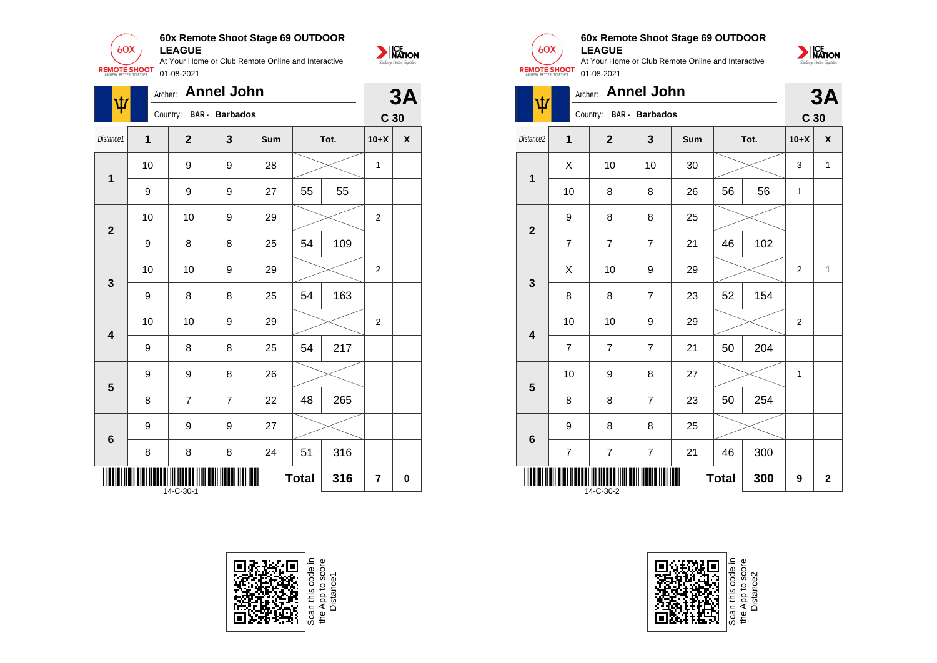![](_page_31_Picture_0.jpeg)

| ψ                       | Archer: |                | <b>Annel John</b> |     |              |      |                 | 3A                 |
|-------------------------|---------|----------------|-------------------|-----|--------------|------|-----------------|--------------------|
|                         |         | Country:       | BAR - Barbados    |     |              |      | C <sub>30</sub> |                    |
| Distance1               | 1       | $\overline{2}$ | 3                 | Sum |              | Tot. | $10+X$          | $\pmb{\mathsf{X}}$ |
| $\mathbf 1$             | 10      | 9              | 9                 | 28  |              |      | $\mathbf{1}$    |                    |
|                         | 9       | 9              | 9                 | 27  | 55           | 55   |                 |                    |
| $\mathbf{2}$            | 10      | 10             | 9                 | 29  |              |      | $\overline{2}$  |                    |
|                         | 9       | 8              | 8                 | 25  | 54           | 109  |                 |                    |
| $\mathbf{3}$            | 10      | 10             | 9                 | 29  |              |      | 2               |                    |
|                         | 9       | 8              | 8                 | 25  | 54           | 163  |                 |                    |
| $\overline{\mathbf{4}}$ | 10      | 10             | 9                 | 29  |              |      | 2               |                    |
|                         | 9       | 8              | 8                 | 25  | 54           | 217  |                 |                    |
| $\overline{\mathbf{5}}$ | 9       | 9              | 8                 | 26  |              |      |                 |                    |
|                         | 8       | 7              | $\overline{7}$    | 22  | 48           | 265  |                 |                    |
| $6\phantom{1}6$         | 9       | 9              | 9                 | 27  |              |      |                 |                    |
|                         | 8       | 8              | 8                 | 24  | 51           | 316  |                 |                    |
|                         |         | 14-C-30-1      |                   |     | <b>Total</b> | 316  | 7               | 0                  |

![](_page_31_Picture_2.jpeg)

![](_page_31_Picture_3.jpeg)

![](_page_31_Picture_4.jpeg)

#### **60x Remote Shoot Stage 69 OUTDOOR LEAGUE**

At Your Home or Club Remote Online and Interactive 01-08-2021

| Ŵ                       | Archer:        |                         | <b>Annel John</b>        |     |              |      |                 | 3A                 |
|-------------------------|----------------|-------------------------|--------------------------|-----|--------------|------|-----------------|--------------------|
|                         |                | Country: BAR - Barbados |                          |     |              |      | C <sub>30</sub> |                    |
| Distance2               | 1              | $\mathbf{2}$            | 3                        | Sum |              | Tot. | $10+X$          | $\pmb{\mathsf{X}}$ |
| $\overline{\mathbf{1}}$ | X              | 10                      | 10                       | 30  |              |      | 3               | $\mathbf{1}$       |
|                         | 10             | 8                       | 8                        | 26  | 56           | 56   | 1               |                    |
| $\overline{2}$          | 9              | 8                       | 8                        | 25  |              |      |                 |                    |
|                         | $\overline{7}$ | $\overline{7}$          | $\overline{7}$           | 21  | 46           | 102  |                 |                    |
| 3                       | Χ              | 10                      | 9                        | 29  |              |      | $\overline{2}$  | 1                  |
|                         | 8              | 8                       | $\overline{7}$           | 23  | 52           | 154  |                 |                    |
| 4                       | 10             | 10                      | 9                        | 29  |              |      | $\overline{c}$  |                    |
|                         | $\overline{7}$ | $\overline{7}$          | $\overline{7}$           | 21  | 50           | 204  |                 |                    |
| 5                       | 10             | 9                       | 8                        | 27  |              |      | 1               |                    |
|                         | 8              | 8                       | $\overline{7}$           | 23  | 50           | 254  |                 |                    |
| 6                       | 9              | 8                       | 8                        | 25  |              |      |                 |                    |
|                         | $\overline{7}$ | 7                       | $\overline{\mathcal{I}}$ | 21  | 46           | 300  |                 |                    |
|                         |                | 14-C-30-2               |                          |     | <b>Total</b> | 300  | 9               | $\mathbf{2}$       |

![](_page_31_Picture_8.jpeg)

![](_page_31_Picture_9.jpeg)

Scan this code i<br>the App to score<br>Distance2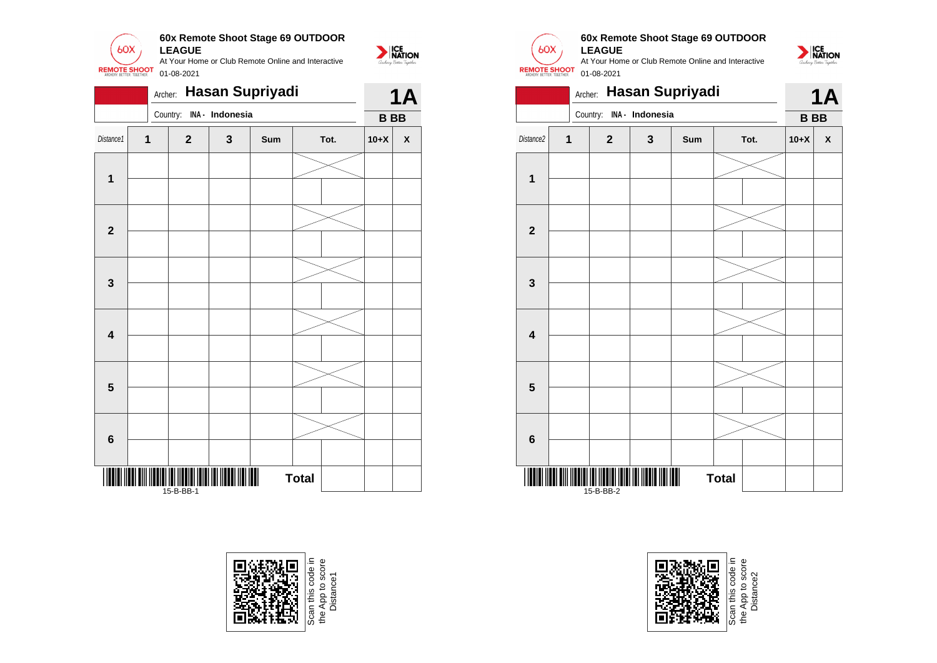![](_page_32_Picture_0.jpeg)

|                         |   | Archer:                  |   | Hasan Supriyadi |                |           | <b>1A</b>          |
|-------------------------|---|--------------------------|---|-----------------|----------------|-----------|--------------------|
|                         |   | Country: INA - Indonesia |   |                 |                | <b>BB</b> |                    |
| Distance1               | 1 | $\mathbf{2}$             | 3 | Sum             | Tot.<br>$10+X$ |           | $\pmb{\mathsf{X}}$ |
|                         |   |                          |   |                 |                |           |                    |
| $\mathbf{1}$            |   |                          |   |                 |                |           |                    |
| $\overline{\mathbf{2}}$ |   |                          |   |                 |                |           |                    |
|                         |   |                          |   |                 |                |           |                    |
| 3                       |   |                          |   |                 |                |           |                    |
| $\overline{\mathbf{4}}$ |   |                          |   |                 |                |           |                    |
|                         |   |                          |   |                 |                |           |                    |
| 5                       |   |                          |   |                 |                |           |                    |
|                         |   |                          |   |                 |                |           |                    |
| 6                       |   |                          |   |                 |                |           |                    |
|                         |   |                          |   |                 |                |           |                    |
| IÑ                      |   |                          |   |                 | <b>Total</b>   |           |                    |

![](_page_32_Picture_2.jpeg)

![](_page_32_Picture_3.jpeg)

 $60X$ 

**REMOTE SHOOT** 

NATION

![](_page_32_Picture_4.jpeg)

At Your Home or Club Remote Online and Interactive 01-08-2021

NATION

![](_page_32_Picture_6.jpeg)

![](_page_32_Picture_7.jpeg)

Scan this code in<br>the App to score<br>Distance2 the App to score Distance2e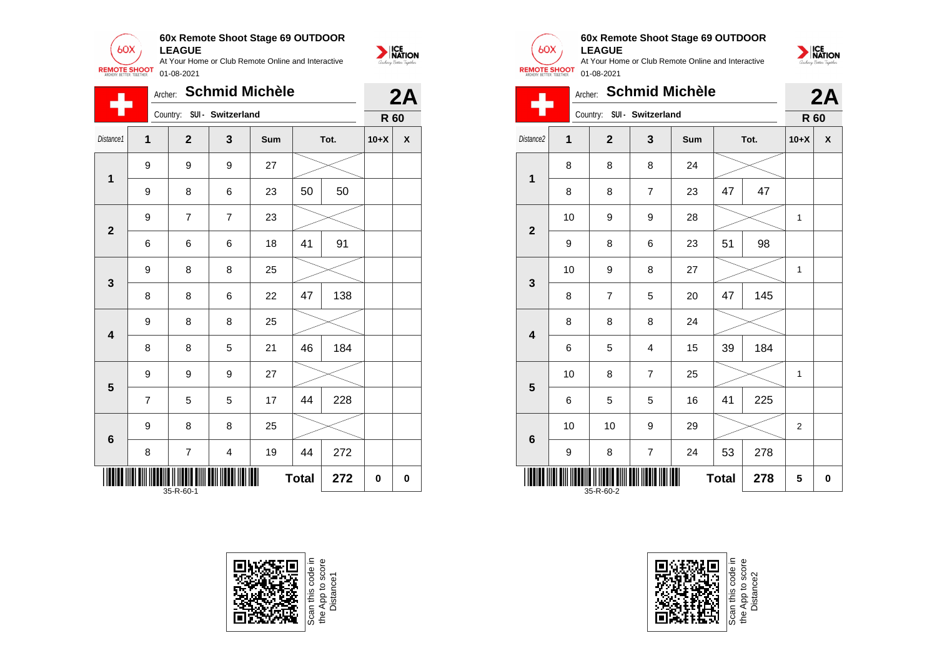![](_page_33_Picture_0.jpeg)

|                         | Archer:        |                            |                | <b>Schmid Michèle</b> |              |      |           | 2A           |
|-------------------------|----------------|----------------------------|----------------|-----------------------|--------------|------|-----------|--------------|
|                         |                | Country: SUI - Switzerland |                |                       |              |      |           |              |
| Distance1               | $\mathbf 1$    | $\overline{2}$             | 3              | Sum                   |              | Tot. | $10+X$    | $\mathsf{X}$ |
| $\mathbf 1$             | 9              | 9                          | 9              | 27                    |              |      |           |              |
|                         | 9              | 8                          | 6              | 23                    | 50           | 50   | R 60<br>0 |              |
| $\mathbf{2}$            | 9              | $\overline{7}$             | $\overline{7}$ | 23                    |              |      |           |              |
|                         | 6              | 6                          | 6              | 18                    | 41           | 91   |           |              |
| 3                       | 9              | 8                          | 8              | 25                    |              |      |           |              |
|                         | 8              | 8                          | 6              | 22                    | 47           | 138  |           |              |
| $\overline{\mathbf{4}}$ | 9              | 8                          | 8              | 25                    |              |      |           |              |
|                         | 8              | 8                          | 5              | 21                    | 46           | 184  |           |              |
| 5                       | 9              | 9                          | 9              | 27                    |              |      |           |              |
|                         | $\overline{7}$ | 5                          | 5              | 17                    | 44           | 228  |           |              |
| $\boldsymbol{6}$        | 9              | 8                          | 8              | 25                    |              |      |           |              |
|                         | 8              | $\overline{7}$             | 4              | 19                    | 44           | 272  |           |              |
|                         |                | 35-R-60-1                  |                |                       | <b>Total</b> | 272  |           | 0            |

![](_page_33_Picture_2.jpeg)

![](_page_33_Picture_3.jpeg)

#### **60x Remote Shoot Stage 69 OUTDOOR LEAGUE**

![](_page_33_Picture_6.jpeg)

|                         |    |                |                            | Archer: Schmid Michèle |              |      |              | 2A |
|-------------------------|----|----------------|----------------------------|------------------------|--------------|------|--------------|----|
|                         |    |                | Country: SUI - Switzerland |                        |              |      | R 60         |    |
| Distance2               | 1  | $\overline{2}$ | 3                          | Sum                    |              | Tot. | $10+X$       | X  |
| 1                       | 8  | 8              | 8                          | 24                     |              |      |              |    |
|                         | 8  | 8              | $\overline{7}$             | 23                     | 47           | 47   |              |    |
| $\overline{2}$          | 10 | 9              | 9                          | 28                     |              |      | $\mathbf{1}$ |    |
|                         | 9  | 8              | 6                          | 23                     | 51           | 98   |              |    |
| 3                       | 10 | 9              | 8                          | 27                     |              |      | $\mathbf{1}$ |    |
|                         | 8  | $\overline{7}$ | 5                          | 20                     | 47           | 145  |              |    |
| $\overline{\mathbf{4}}$ | 8  | 8              | 8                          | 24                     |              |      |              |    |
|                         | 6  | 5              | $\overline{4}$             | 15                     | 39           | 184  |              |    |
| 5                       | 10 | 8              | $\overline{7}$             | 25                     |              |      | $\mathbf{1}$ |    |
|                         | 6  | 5              | 5                          | 16                     | 41           | 225  |              |    |
| 6                       | 10 | 10             | 9                          | 29                     |              |      | 2            |    |
|                         | 9  | 8              | $\overline{\mathcal{I}}$   | 24                     | 53           | 278  |              |    |
|                         |    | 35-R-60-2      |                            |                        | <b>Total</b> | 278  | 5            | 0  |

![](_page_33_Picture_8.jpeg)

Scan this code<br>the App to scor<br>Distance2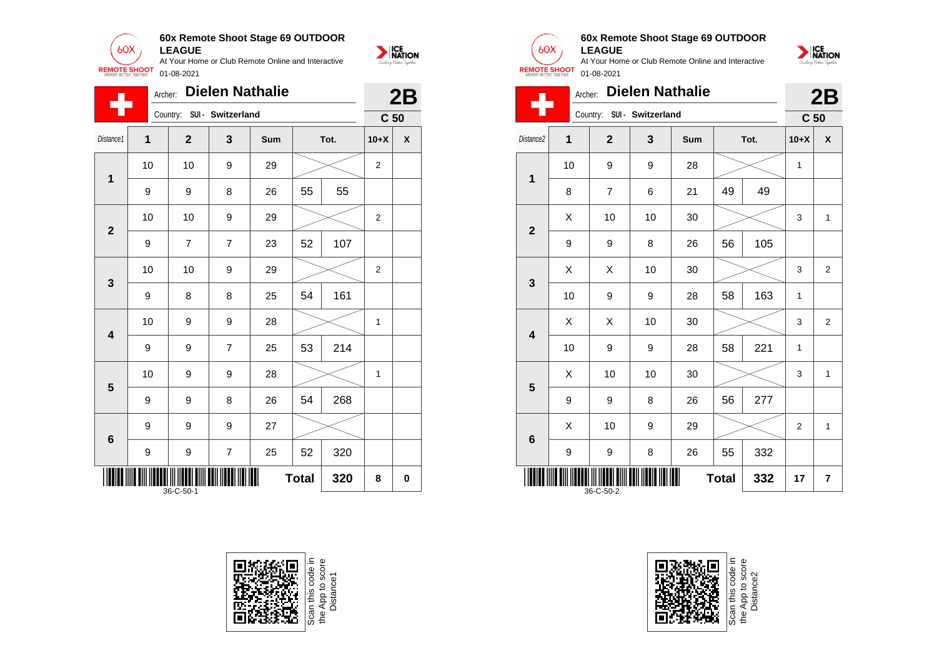![](_page_34_Picture_0.jpeg)

|              | Archer:          |                            |                | <b>Dielen Nathalie</b> |              |      |                 | 2B           |
|--------------|------------------|----------------------------|----------------|------------------------|--------------|------|-----------------|--------------|
|              |                  | Country: SUI - Switzerland |                |                        |              |      | C <sub>50</sub> |              |
| Distance1    | 1                | $\overline{2}$             | 3              | Sum                    |              | Tot. | $10+X$          | $\mathsf{x}$ |
| $\mathbf 1$  | 10               | 10                         | 9              | 29                     |              |      | 2               |              |
|              | 9                | 9                          | 8              | 26                     | 55           | 55   |                 |              |
| $\mathbf{2}$ | 10               | 10                         | 9              | 29                     |              |      | $\overline{2}$  |              |
|              | 9                | $\overline{7}$             | $\overline{7}$ | 23                     | 52           | 107  |                 |              |
| 3            | 10               | 10                         | 9              | 29                     |              |      | $\overline{2}$  |              |
|              | 9                | 8                          | 8              | 25                     | 54           | 161  |                 |              |
| 4            | 10               | 9                          | 9              | 28                     |              |      | 1               |              |
|              | 9                | 9                          | $\overline{7}$ | 25                     | 53           | 214  |                 |              |
| 5            | 10               | 9                          | 9              | 28                     |              |      | 1               |              |
|              | 9                | 9                          | 8              | 26                     | 54           | 268  |                 |              |
| 6            | 9                | 9                          | 9              | 27                     |              |      |                 |              |
|              | $\boldsymbol{9}$ | 9                          | $\overline{7}$ | 25                     | 52           | 320  |                 |              |
|              |                  | 36-C-50-1                  |                |                        | <b>Total</b> | 320  | 8               | 0            |

![](_page_34_Picture_2.jpeg)

![](_page_34_Picture_3.jpeg)

#### **60x Remote Shoot Stage 69 OUTDOOR LEAGUE**

At Your Home or Club Remote Online and Interactive 01-08-2021

![](_page_34_Picture_6.jpeg)

| <b>REMOTE SHOOT</b>     |                | 01-08-2021     |                        |     |              |      |                                                                       |                |
|-------------------------|----------------|----------------|------------------------|-----|--------------|------|-----------------------------------------------------------------------|----------------|
|                         | Archer:        |                | <b>Dielen Nathalie</b> |     |              |      |                                                                       | 2B             |
|                         |                | Country:       | SUI - Switzerland      |     |              |      |                                                                       |                |
| Distance <sub>2</sub>   | $\overline{1}$ | $\overline{2}$ | $\mathbf{3}$           | Sum |              | Tot. | $10+X$                                                                | X              |
| 1                       | 10             | 9              | 9                      | 28  |              |      | $\mathbf{1}$                                                          |                |
|                         | 8              | 7              | 6                      | 21  | 49           | 49   | C <sub>50</sub><br>3<br>3<br>1<br>3<br>1<br>3<br>$\overline{2}$<br>17 |                |
| $\overline{2}$          | X              | 10             | 10                     | 30  |              |      |                                                                       | $\mathbf{1}$   |
|                         | 9              | 9              | 8                      | 26  | 56           | 105  |                                                                       |                |
| 3                       | X              | X              | 10                     | 30  |              |      |                                                                       | $\overline{2}$ |
|                         | 10             | 9              | 9                      | 28  | 58           | 163  |                                                                       |                |
| $\overline{\mathbf{A}}$ | X              | X              | 10                     | 30  |              |      |                                                                       | $\overline{2}$ |
|                         | 10             | 9              | 9                      | 28  | 58           | 221  |                                                                       |                |
| 5                       | X              | 10             | 10                     | 30  |              |      |                                                                       | 1              |
|                         | 9              | 9              | 8                      | 26  | 56           | 277  |                                                                       |                |
| $6\phantom{1}6$         | X              | 10             | 9                      | 29  |              |      |                                                                       | $\mathbf{1}$   |
|                         | 9              | 9              | 8                      | 26  | 55           | 332  |                                                                       |                |
|                         |                | 36-C-50-2      |                        |     | <b>Total</b> | 332  |                                                                       | 7              |

Scan this code<br>the App to sco<br>Distance2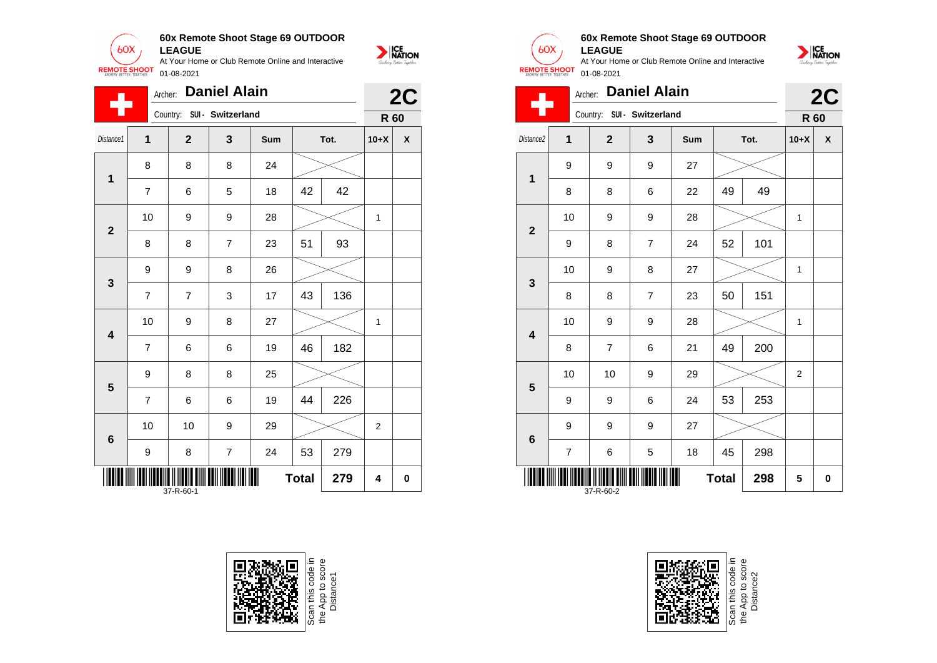![](_page_35_Picture_0.jpeg)

|                         | Archer:        |                | <b>Daniel Alain</b>     |     |              |      |                | 2C                 |
|-------------------------|----------------|----------------|-------------------------|-----|--------------|------|----------------|--------------------|
|                         |                | Country:       | SUI - Switzerland       |     |              |      | R 60           |                    |
| Distance1               | $\overline{1}$ | $\mathbf{2}$   | 3                       | Sum |              | Tot. | $10+X$         | $\pmb{\mathsf{X}}$ |
| 1                       | 8              | 8              | 8                       | 24  |              |      |                |                    |
|                         | 7              | 6              | 5                       | 18  | 42           | 42   |                |                    |
| $\overline{2}$          | 10             | 9              | 9                       | 28  |              |      | 1              |                    |
|                         | 8              | 8              | $\overline{7}$          | 23  | 51           | 93   |                |                    |
| $\mathbf{3}$            | 9              | 9              | 8                       | 26  |              |      |                |                    |
|                         | $\overline{7}$ | $\overline{7}$ | 3                       | 17  | 43           | 136  |                |                    |
| $\overline{\mathbf{4}}$ | 10             | 9              | 8                       | 27  |              |      | 1              |                    |
|                         | $\overline{7}$ | 6              | 6                       | 19  | 46           | 182  |                |                    |
| 5                       | 9              | 8              | 8                       | 25  |              |      |                |                    |
|                         | $\overline{7}$ | 6              | 6                       | 19  | 44           | 226  |                |                    |
| $\bf 6$                 | 10             | 10             | 9                       | 29  |              |      | $\overline{2}$ |                    |
|                         | 9              | 8              | $\overline{\mathbf{7}}$ | 24  | 53           | 279  |                |                    |
|                         |                | 37-R-60-1      |                         | ║   | <b>Total</b> | 279  | 4              | $\bf{0}$           |

![](_page_35_Picture_2.jpeg)

![](_page_35_Picture_3.jpeg)

#### **60x Remote Shoot Stage 69 OUTDOOR LEAGUE**

At Your Home or Club Remote Online and Interactive 01-08-2021

![](_page_35_Picture_6.jpeg)

| <b>REMOTE SHOOT</b>     |                                  | 01-08-2021     |                     |     |    |      |                                    |    |
|-------------------------|----------------------------------|----------------|---------------------|-----|----|------|------------------------------------|----|
|                         | Archer:                          |                | <b>Daniel Alain</b> |     |    |      |                                    | 2C |
|                         |                                  | Country:       | SUI - Switzerland   |     |    |      |                                    |    |
| Distance2               | 1                                | $\mathbf{2}$   | 3                   | Sum |    | Tot. | $10+X$                             | X  |
| 1                       | 9                                | 9              | 9                   | 27  |    |      |                                    |    |
|                         | 8                                | 8              | 6                   | 22  | 49 | 49   | 1<br>1<br>1<br>$\overline{2}$<br>5 |    |
|                         | 10                               | 9              | 9                   | 28  |    |      |                                    |    |
| $\overline{2}$          | 9                                | 8              | $\overline{7}$      | 24  | 52 | 101  |                                    |    |
| 3                       | 10                               | 9              | 8                   | 27  |    |      | R 60                               |    |
|                         | 8                                | 8              | $\overline{7}$      | 23  | 50 | 151  |                                    |    |
|                         | 10                               | 9              | 9                   | 28  |    |      |                                    |    |
| $\overline{\mathbf{4}}$ | 8                                | $\overline{7}$ | 6                   | 21  | 49 | 200  |                                    |    |
|                         | 10                               | 10             | 9                   | 29  |    |      |                                    |    |
| 5                       | 9                                | 9              | 6                   | 24  | 53 | 253  |                                    |    |
|                         | 9                                | 9              | 9                   | 27  |    |      |                                    |    |
| 6                       | 7                                | 6              | 5                   | 18  | 45 | 298  |                                    |    |
|                         | <b>Total</b><br>298<br>37-R-60-2 |                |                     |     |    |      |                                    | 0  |

Scan this code<br>the App to sco<br>Distance2